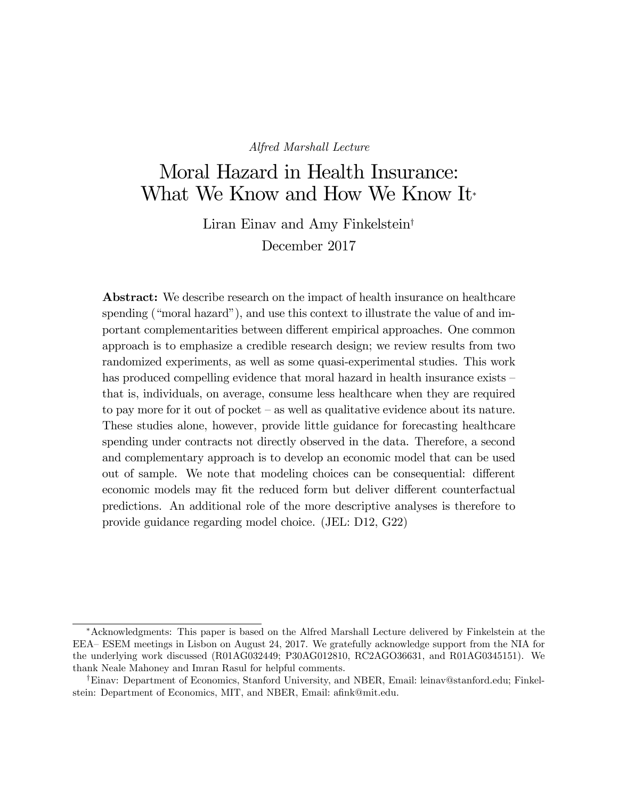Alfred Marshall Lecture

# Moral Hazard in Health Insurance: What We Know and How We Know It<sup>\*</sup>

# Liran Einav and Amy Finkelstein<sup>†</sup> December 2017

Abstract: We describe research on the impact of health insurance on healthcare spending ("moral hazard"), and use this context to illustrate the value of and important complementarities between different empirical approaches. One common approach is to emphasize a credible research design; we review results from two randomized experiments, as well as some quasi-experimental studies. This work has produced compelling evidence that moral hazard in health insurance exists  $\overline{\phantom{a}}$ that is, individuals, on average, consume less healthcare when they are required to pay more for it out of pocket  $-$  as well as qualitative evidence about its nature. These studies alone, however, provide little guidance for forecasting healthcare spending under contracts not directly observed in the data. Therefore, a second and complementary approach is to develop an economic model that can be used out of sample. We note that modeling choices can be consequential: different economic models may fit the reduced form but deliver different counterfactual predictions. An additional role of the more descriptive analyses is therefore to provide guidance regarding model choice. (JEL: D12, G22)

Acknowledgments: This paper is based on the Alfred Marshall Lecture delivered by Finkelstein at the EEA ESEM meetings in Lisbon on August 24, 2017. We gratefully acknowledge support from the NIA for the underlying work discussed (R01AG032449; P30AG012810, RC2AGO36631, and R01AG0345151). We thank Neale Mahoney and Imran Rasul for helpful comments.

<sup>&</sup>lt;sup>†</sup>Einav: Department of Economics, Stanford University, and NBER, Email: leinav@stanford.edu; Finkelstein: Department of Economics, MIT, and NBER, Email: afink@mit.edu.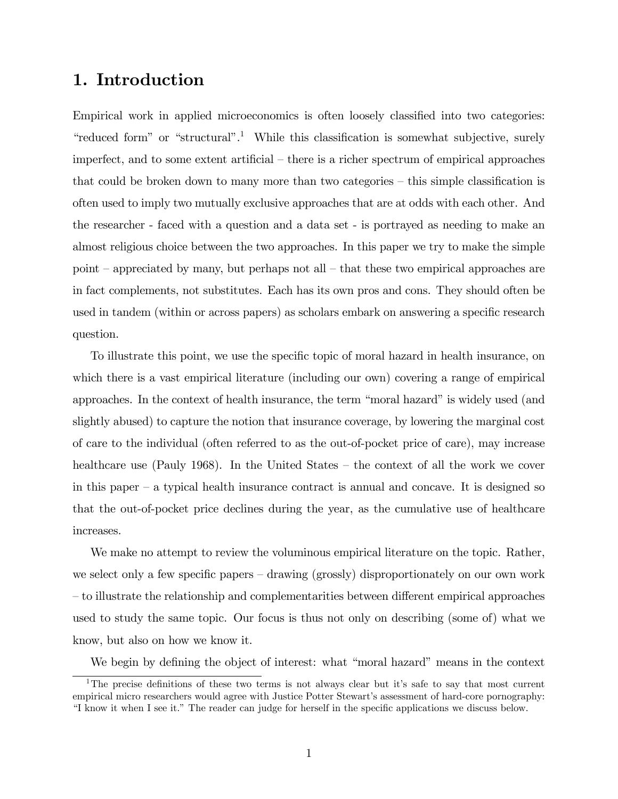## 1. Introduction

Empirical work in applied microeconomics is often loosely classified into two categories: "reduced form" or "structural".<sup>1</sup> While this classification is somewhat subjective, surely imperfect, and to some extent artificial  $-$  there is a richer spectrum of empirical approaches that could be broken down to many more than two categories  $-$  this simple classification is often used to imply two mutually exclusive approaches that are at odds with each other. And the researcher - faced with a question and a data set - is portrayed as needing to make an almost religious choice between the two approaches. In this paper we try to make the simple point  $\alpha$  appreciated by many, but perhaps not all  $\alpha$  that these two empirical approaches are in fact complements, not substitutes. Each has its own pros and cons. They should often be used in tandem (within or across papers) as scholars embark on answering a specific research question.

To illustrate this point, we use the specific topic of moral hazard in health insurance, on which there is a vast empirical literature (including our own) covering a range of empirical approaches. In the context of health insurance, the term "moral hazard" is widely used (and slightly abused) to capture the notion that insurance coverage, by lowering the marginal cost of care to the individual (often referred to as the out-of-pocket price of care), may increase healthcare use (Pauly 1968). In the United States  $-$  the context of all the work we cover in this paper  $-\alpha$  typical health insurance contract is annual and concave. It is designed so that the out-of-pocket price declines during the year, as the cumulative use of healthcare increases.

We make no attempt to review the voluminous empirical literature on the topic. Rather, we select only a few specific papers  $-\frac{1}{2}$  drawing (grossly) disproportionately on our own work  $-$  to illustrate the relationship and complementarities between different empirical approaches used to study the same topic. Our focus is thus not only on describing (some of) what we know, but also on how we know it.

We begin by defining the object of interest: what "moral hazard" means in the context

<sup>&</sup>lt;sup>1</sup>The precise definitions of these two terms is not always clear but it's safe to say that most current empirical micro researchers would agree with Justice Potter Stewart's assessment of hard-core pornography: ìI know it when I see it.îThe reader can judge for herself in the speciÖc applications we discuss below.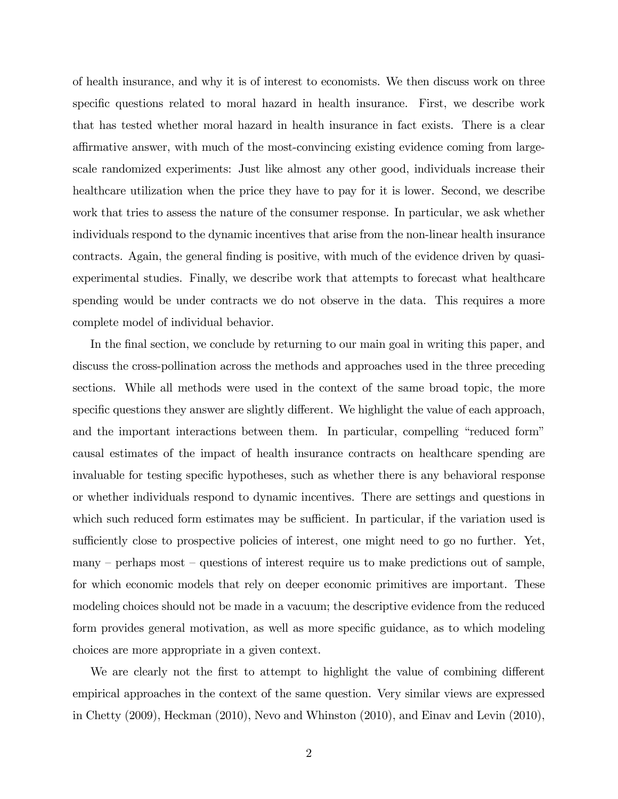of health insurance, and why it is of interest to economists. We then discuss work on three specific questions related to moral hazard in health insurance. First, we describe work that has tested whether moral hazard in health insurance in fact exists. There is a clear affirmative answer, with much of the most-convincing existing evidence coming from largescale randomized experiments: Just like almost any other good, individuals increase their healthcare utilization when the price they have to pay for it is lower. Second, we describe work that tries to assess the nature of the consumer response. In particular, we ask whether individuals respond to the dynamic incentives that arise from the non-linear health insurance contracts. Again, the general finding is positive, with much of the evidence driven by quasiexperimental studies. Finally, we describe work that attempts to forecast what healthcare spending would be under contracts we do not observe in the data. This requires a more complete model of individual behavior.

In the final section, we conclude by returning to our main goal in writing this paper, and discuss the cross-pollination across the methods and approaches used in the three preceding sections. While all methods were used in the context of the same broad topic, the more specific questions they answer are slightly different. We highlight the value of each approach, and the important interactions between them. In particular, compelling "reduced form" causal estimates of the impact of health insurance contracts on healthcare spending are invaluable for testing specific hypotheses, such as whether there is any behavioral response or whether individuals respond to dynamic incentives. There are settings and questions in which such reduced form estimates may be sufficient. In particular, if the variation used is sufficiently close to prospective policies of interest, one might need to go no further. Yet,  $m$ many  $-$  perhaps most  $-$  questions of interest require us to make predictions out of sample, for which economic models that rely on deeper economic primitives are important. These modeling choices should not be made in a vacuum; the descriptive evidence from the reduced form provides general motivation, as well as more specific guidance, as to which modeling choices are more appropriate in a given context.

We are clearly not the first to attempt to highlight the value of combining different empirical approaches in the context of the same question. Very similar views are expressed in Chetty (2009), Heckman (2010), Nevo and Whinston (2010), and Einav and Levin (2010),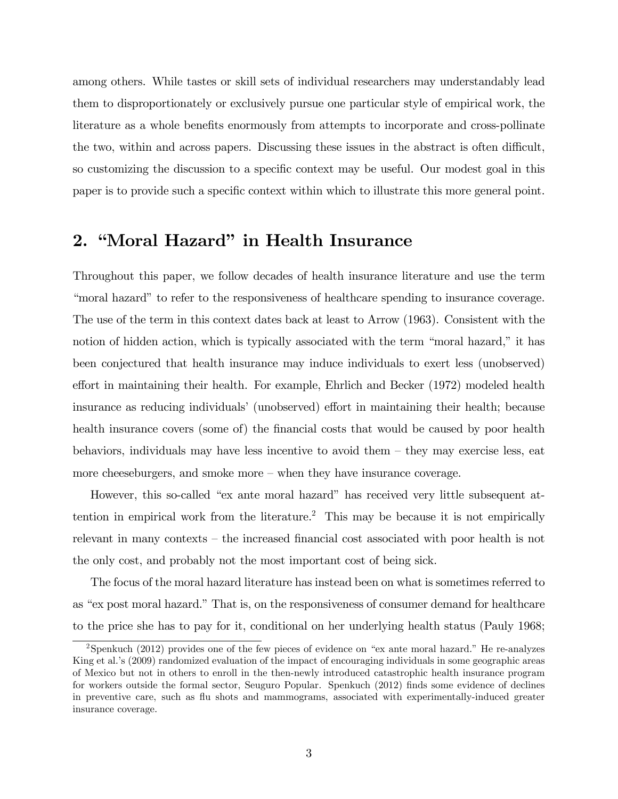among others. While tastes or skill sets of individual researchers may understandably lead them to disproportionately or exclusively pursue one particular style of empirical work, the literature as a whole benefits enormously from attempts to incorporate and cross-pollinate the two, within and across papers. Discussing these issues in the abstract is often difficult, so customizing the discussion to a specific context may be useful. Our modest goal in this paper is to provide such a specific context within which to illustrate this more general point.

# 2. "Moral Hazard" in Health Insurance

Throughout this paper, we follow decades of health insurance literature and use the term "moral hazard" to refer to the responsiveness of healthcare spending to insurance coverage. The use of the term in this context dates back at least to Arrow (1963). Consistent with the notion of hidden action, which is typically associated with the term "moral hazard," it has been conjectured that health insurance may induce individuals to exert less (unobserved)  $\hat{\theta}$  effort in maintaining their health. For example, Ehrlich and Becker (1972) modeled health insurance as reducing individuals' (unobserved) effort in maintaining their health; because health insurance covers (some of) the financial costs that would be caused by poor health behaviors, individuals may have less incentive to avoid them  $-$  they may exercise less, eat more cheese burgers, and smoke more  $-\omega$  when they have insurance coverage.

However, this so-called "ex ante moral hazard" has received very little subsequent attention in empirical work from the literature.<sup>2</sup> This may be because it is not empirically relevant in many contexts  $-$  the increased financial cost associated with poor health is not the only cost, and probably not the most important cost of being sick.

The focus of the moral hazard literature has instead been on what is sometimes referred to as "ex post moral hazard." That is, on the responsiveness of consumer demand for healthcare to the price she has to pay for it, conditional on her underlying health status (Pauly 1968;

<sup>&</sup>lt;sup>2</sup>Spenkuch (2012) provides one of the few pieces of evidence on "ex ante moral hazard." He re-analyzes King et al.'s (2009) randomized evaluation of the impact of encouraging individuals in some geographic areas of Mexico but not in others to enroll in the then-newly introduced catastrophic health insurance program for workers outside the formal sector, Seuguro Popular. Spenkuch (2012) finds some evidence of declines in preventive care, such as flu shots and mammograms, associated with experimentally-induced greater insurance coverage.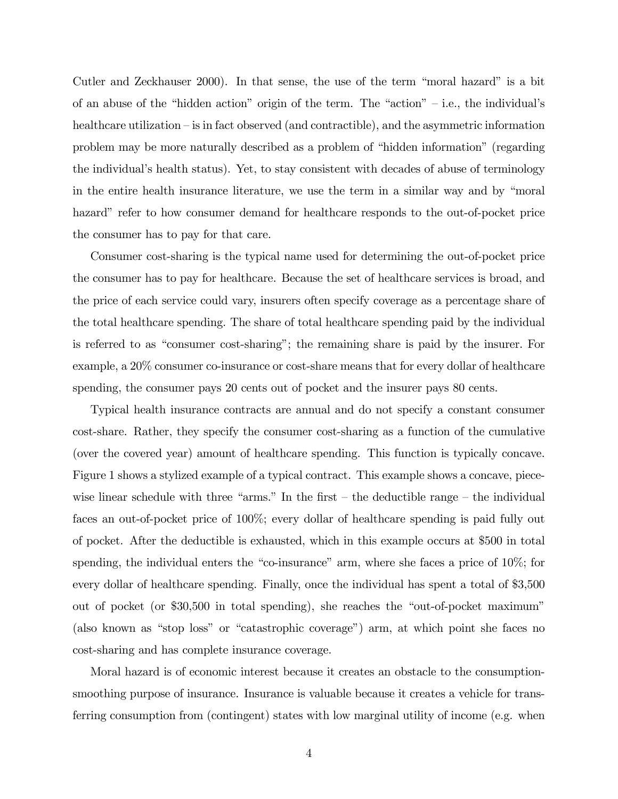Cutler and Zeckhauser 2000). In that sense, the use of the term "moral hazard" is a bit of an abuse of the "hidden action" origin of the term. The "action"  $-$  i.e., the individual's healthcare utilization – is in fact observed (and contractible), and the asymmetric information problem may be more naturally described as a problem of "hidden information" (regarding the individual's health status). Yet, to stay consistent with decades of abuse of terminology in the entire health insurance literature, we use the term in a similar way and by "moral" hazard" refer to how consumer demand for healthcare responds to the out-of-pocket price the consumer has to pay for that care.

Consumer cost-sharing is the typical name used for determining the out-of-pocket price the consumer has to pay for healthcare. Because the set of healthcare services is broad, and the price of each service could vary, insurers often specify coverage as a percentage share of the total healthcare spending. The share of total healthcare spending paid by the individual is referred to as "consumer cost-sharing"; the remaining share is paid by the insurer. For example, a 20% consumer co-insurance or cost-share means that for every dollar of healthcare spending, the consumer pays 20 cents out of pocket and the insurer pays 80 cents.

Typical health insurance contracts are annual and do not specify a constant consumer cost-share. Rather, they specify the consumer cost-sharing as a function of the cumulative (over the covered year) amount of healthcare spending. This function is typically concave. Figure 1 shows a stylized example of a typical contract. This example shows a concave, piecewise linear schedule with three "arms." In the first  $-$  the deductible range  $-$  the individual faces an out-of-pocket price of 100%; every dollar of healthcare spending is paid fully out of pocket. After the deductible is exhausted, which in this example occurs at \$500 in total spending, the individual enters the "co-insurance" arm, where she faces a price of  $10\%$ ; for every dollar of healthcare spending. Finally, once the individual has spent a total of \$3,500 out of pocket (or  $$30,500$  in total spending), she reaches the "out-of-pocket maximum" (also known as "stop loss" or "catastrophic coverage") arm, at which point she faces no cost-sharing and has complete insurance coverage.

Moral hazard is of economic interest because it creates an obstacle to the consumptionsmoothing purpose of insurance. Insurance is valuable because it creates a vehicle for transferring consumption from (contingent) states with low marginal utility of income (e.g. when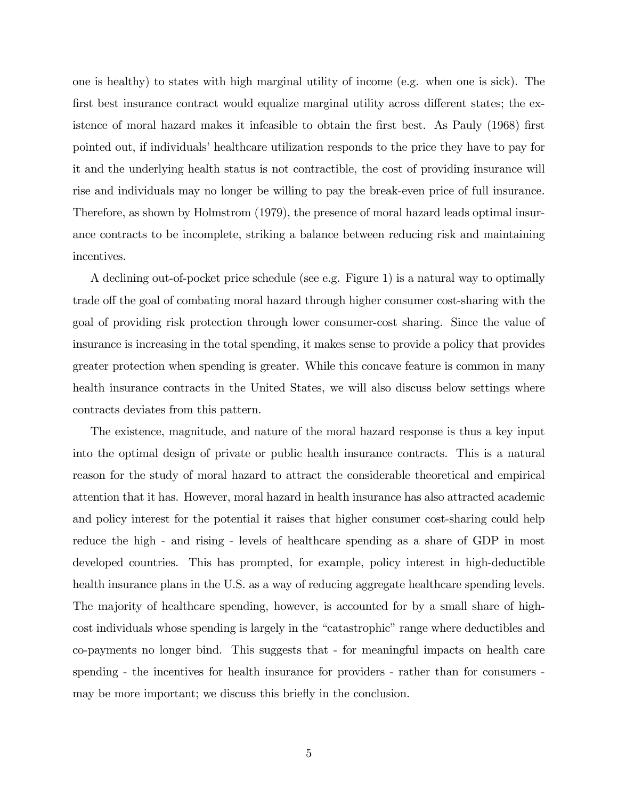one is healthy) to states with high marginal utility of income (e.g. when one is sick). The first best insurance contract would equalize marginal utility across different states; the existence of moral hazard makes it infeasible to obtain the first best. As Pauly (1968) first pointed out, if individuals' healthcare utilization responds to the price they have to pay for it and the underlying health status is not contractible, the cost of providing insurance will rise and individuals may no longer be willing to pay the break-even price of full insurance. Therefore, as shown by Holmstrom (1979), the presence of moral hazard leads optimal insurance contracts to be incomplete, striking a balance between reducing risk and maintaining incentives.

A declining out-of-pocket price schedule (see e.g. Figure 1) is a natural way to optimally trade off the goal of combating moral hazard through higher consumer cost-sharing with the goal of providing risk protection through lower consumer-cost sharing. Since the value of insurance is increasing in the total spending, it makes sense to provide a policy that provides greater protection when spending is greater. While this concave feature is common in many health insurance contracts in the United States, we will also discuss below settings where contracts deviates from this pattern.

The existence, magnitude, and nature of the moral hazard response is thus a key input into the optimal design of private or public health insurance contracts. This is a natural reason for the study of moral hazard to attract the considerable theoretical and empirical attention that it has. However, moral hazard in health insurance has also attracted academic and policy interest for the potential it raises that higher consumer cost-sharing could help reduce the high - and rising - levels of healthcare spending as a share of GDP in most developed countries. This has prompted, for example, policy interest in high-deductible health insurance plans in the U.S. as a way of reducing aggregate healthcare spending levels. The majority of healthcare spending, however, is accounted for by a small share of highcost individuals whose spending is largely in the "catastrophic" range where deductibles and co-payments no longer bind. This suggests that - for meaningful impacts on health care spending - the incentives for health insurance for providers - rather than for consumers may be more important; we discuss this briefly in the conclusion.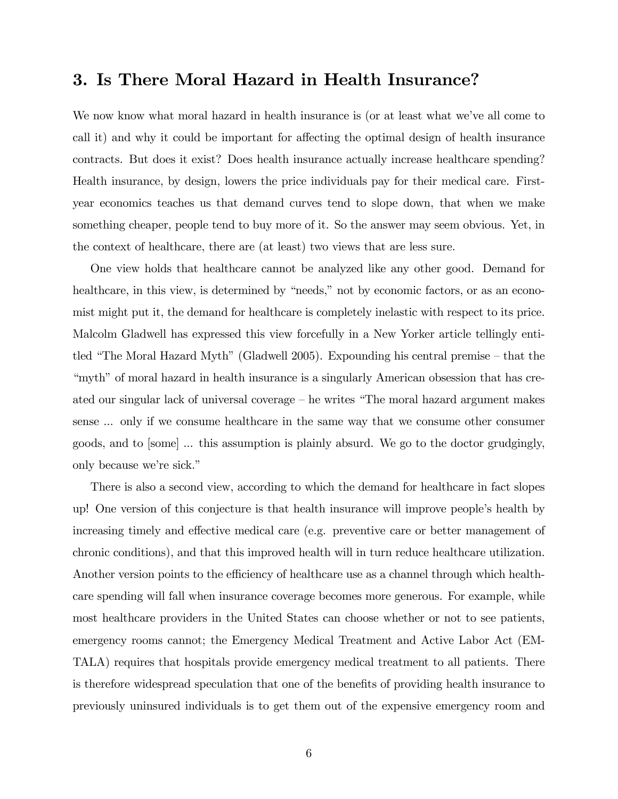## 3. Is There Moral Hazard in Health Insurance?

We now know what moral hazard in health insurance is (or at least what we've all come to call it) and why it could be important for affecting the optimal design of health insurance contracts. But does it exist? Does health insurance actually increase healthcare spending? Health insurance, by design, lowers the price individuals pay for their medical care. Firstyear economics teaches us that demand curves tend to slope down, that when we make something cheaper, people tend to buy more of it. So the answer may seem obvious. Yet, in the context of healthcare, there are (at least) two views that are less sure.

One view holds that healthcare cannot be analyzed like any other good. Demand for healthcare, in this view, is determined by "needs," not by economic factors, or as an economist might put it, the demand for healthcare is completely inelastic with respect to its price. Malcolm Gladwell has expressed this view forcefully in a New Yorker article tellingly entitled "The Moral Hazard Myth" (Gladwell 2005). Expounding his central premise  $-$  that the "myth" of moral hazard in health insurance is a singularly American obsession that has created our singular lack of universal coverage – he writes "The moral hazard argument makes" sense ... only if we consume healthcare in the same way that we consume other consumer goods, and to [some] ... this assumption is plainly absurd. We go to the doctor grudgingly, only because we're sick."

There is also a second view, according to which the demand for healthcare in fact slopes up! One version of this conjecture is that health insurance will improve peopleís health by increasing timely and effective medical care (e.g. preventive care or better management of chronic conditions), and that this improved health will in turn reduce healthcare utilization. Another version points to the efficiency of healthcare use as a channel through which healthcare spending will fall when insurance coverage becomes more generous. For example, while most healthcare providers in the United States can choose whether or not to see patients, emergency rooms cannot; the Emergency Medical Treatment and Active Labor Act (EM-TALA) requires that hospitals provide emergency medical treatment to all patients. There is therefore widespread speculation that one of the benefits of providing health insurance to previously uninsured individuals is to get them out of the expensive emergency room and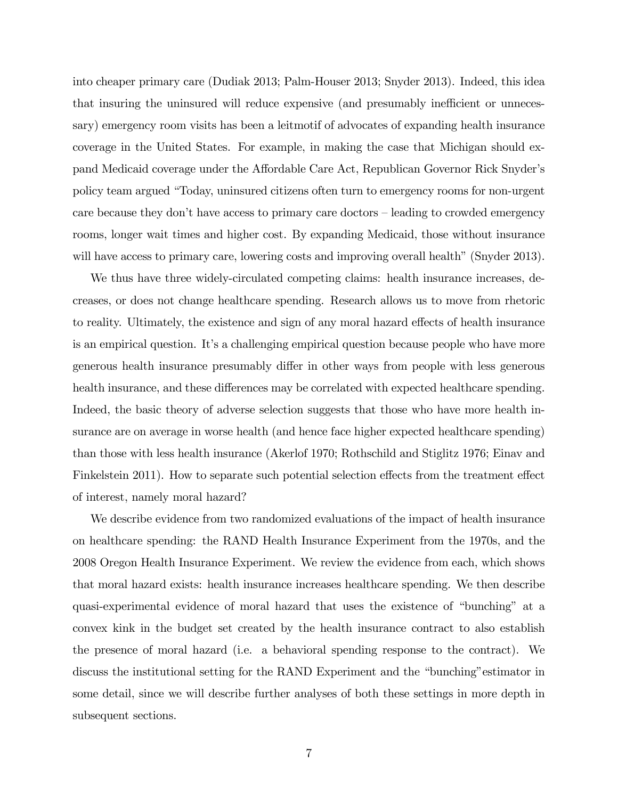into cheaper primary care (Dudiak 2013; Palm-Houser 2013; Snyder 2013). Indeed, this idea that insuring the uninsured will reduce expensive (and presumably inefficient or unnecessary) emergency room visits has been a leitmotif of advocates of expanding health insurance coverage in the United States. For example, in making the case that Michigan should expand Medicaid coverage under the Affordable Care Act, Republican Governor Rick Snyder's policy team argued "Today, uninsured citizens often turn to emergency rooms for non-urgent care because they don't have access to primary care doctors  $-\$ leading to crowded emergency rooms, longer wait times and higher cost. By expanding Medicaid, those without insurance will have access to primary care, lowering costs and improving overall health" (Snyder 2013).

We thus have three widely-circulated competing claims: health insurance increases, decreases, or does not change healthcare spending. Research allows us to move from rhetoric to reality. Ultimately, the existence and sign of any moral hazard effects of health insurance is an empirical question. Itís a challenging empirical question because people who have more generous health insurance presumably differ in other ways from people with less generous health insurance, and these differences may be correlated with expected healthcare spending. Indeed, the basic theory of adverse selection suggests that those who have more health insurance are on average in worse health (and hence face higher expected healthcare spending) than those with less health insurance (Akerlof 1970; Rothschild and Stiglitz 1976; Einav and Finkelstein 2011). How to separate such potential selection effects from the treatment effect of interest, namely moral hazard?

We describe evidence from two randomized evaluations of the impact of health insurance on healthcare spending: the RAND Health Insurance Experiment from the 1970s, and the 2008 Oregon Health Insurance Experiment. We review the evidence from each, which shows that moral hazard exists: health insurance increases healthcare spending. We then describe quasi-experimental evidence of moral hazard that uses the existence of "bunching" at a convex kink in the budget set created by the health insurance contract to also establish the presence of moral hazard (i.e. a behavioral spending response to the contract). We discuss the institutional setting for the RAND Experiment and the "bunching" estimator in some detail, since we will describe further analyses of both these settings in more depth in subsequent sections.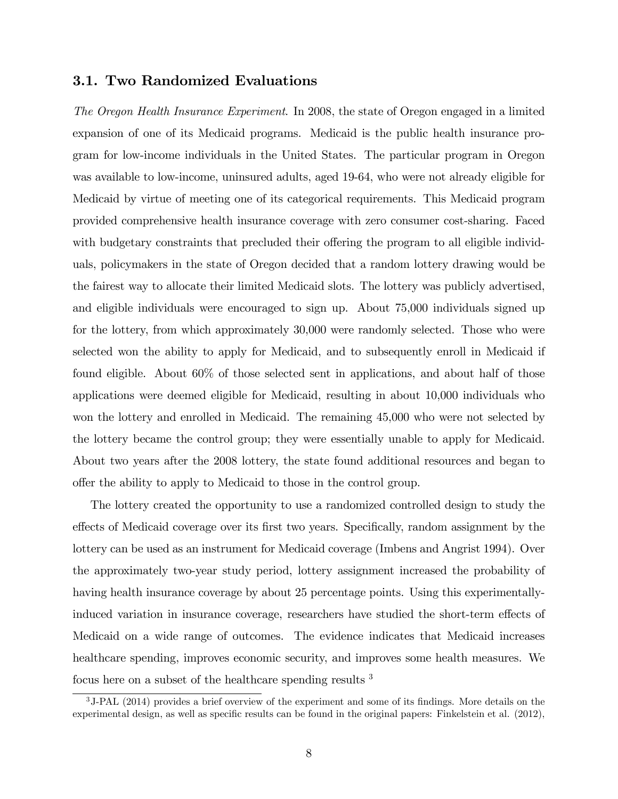#### 3.1. Two Randomized Evaluations

The Oregon Health Insurance Experiment. In 2008, the state of Oregon engaged in a limited expansion of one of its Medicaid programs. Medicaid is the public health insurance program for low-income individuals in the United States. The particular program in Oregon was available to low-income, uninsured adults, aged 19-64, who were not already eligible for Medicaid by virtue of meeting one of its categorical requirements. This Medicaid program provided comprehensive health insurance coverage with zero consumer cost-sharing. Faced with budgetary constraints that precluded their offering the program to all eligible individuals, policymakers in the state of Oregon decided that a random lottery drawing would be the fairest way to allocate their limited Medicaid slots. The lottery was publicly advertised, and eligible individuals were encouraged to sign up. About 75,000 individuals signed up for the lottery, from which approximately 30,000 were randomly selected. Those who were selected won the ability to apply for Medicaid, and to subsequently enroll in Medicaid if found eligible. About 60% of those selected sent in applications, and about half of those applications were deemed eligible for Medicaid, resulting in about 10,000 individuals who won the lottery and enrolled in Medicaid. The remaining 45,000 who were not selected by the lottery became the control group; they were essentially unable to apply for Medicaid. About two years after the 2008 lottery, the state found additional resources and began to offer the ability to apply to Medicaid to those in the control group.

The lottery created the opportunity to use a randomized controlled design to study the effects of Medicaid coverage over its first two years. Specifically, random assignment by the lottery can be used as an instrument for Medicaid coverage (Imbens and Angrist 1994). Over the approximately two-year study period, lottery assignment increased the probability of having health insurance coverage by about 25 percentage points. Using this experimentallyinduced variation in insurance coverage, researchers have studied the short-term effects of Medicaid on a wide range of outcomes. The evidence indicates that Medicaid increases healthcare spending, improves economic security, and improves some health measures. We focus here on a subset of the healthcare spending results <sup>3</sup>

 $3$ J-PAL (2014) provides a brief overview of the experiment and some of its findings. More details on the experimental design, as well as specific results can be found in the original papers: Finkelstein et al. (2012),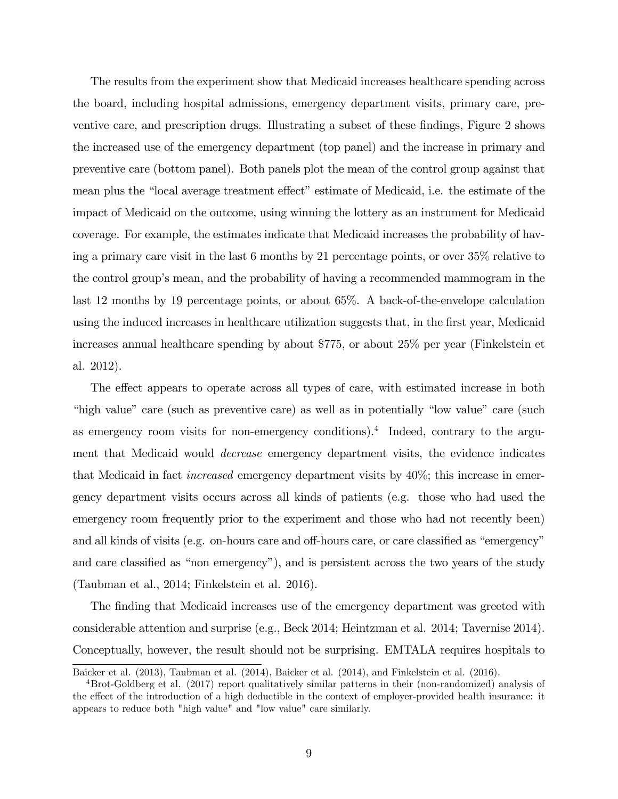The results from the experiment show that Medicaid increases healthcare spending across the board, including hospital admissions, emergency department visits, primary care, preventive care, and prescription drugs. Illustrating a subset of these findings, Figure 2 shows the increased use of the emergency department (top panel) and the increase in primary and preventive care (bottom panel). Both panels plot the mean of the control group against that mean plus the "local average treatment effect" estimate of Medicaid, i.e. the estimate of the impact of Medicaid on the outcome, using winning the lottery as an instrument for Medicaid coverage. For example, the estimates indicate that Medicaid increases the probability of having a primary care visit in the last 6 months by 21 percentage points, or over 35% relative to the control groupís mean, and the probability of having a recommended mammogram in the last 12 months by 19 percentage points, or about 65%. A back-of-the-envelope calculation using the induced increases in healthcare utilization suggests that, in the Örst year, Medicaid increases annual healthcare spending by about \$775, or about 25% per year (Finkelstein et al. 2012).

The effect appears to operate across all types of care, with estimated increase in both "high value" care (such as preventive care) as well as in potentially "low value" care (such as emergency room visits for non-emergency conditions).<sup>4</sup> Indeed, contrary to the argument that Medicaid would decrease emergency department visits, the evidence indicates that Medicaid in fact increased emergency department visits by 40%; this increase in emergency department visits occurs across all kinds of patients (e.g. those who had used the emergency room frequently prior to the experiment and those who had not recently been) and all kinds of visits (e.g. on-hours care and off-hours care, or care classified as "emergency" and care classified as "non emergency"), and is persistent across the two years of the study (Taubman et al., 2014; Finkelstein et al. 2016).

The finding that Medicaid increases use of the emergency department was greeted with considerable attention and surprise (e.g., Beck 2014; Heintzman et al. 2014; Tavernise 2014). Conceptually, however, the result should not be surprising. EMTALA requires hospitals to

Baicker et al. (2013), Taubman et al. (2014), Baicker et al. (2014), and Finkelstein et al. (2016).

<sup>4</sup>Brot-Goldberg et al. (2017) report qualitatively similar patterns in their (non-randomized) analysis of the effect of the introduction of a high deductible in the context of employer-provided health insurance: it appears to reduce both "high value" and "low value" care similarly.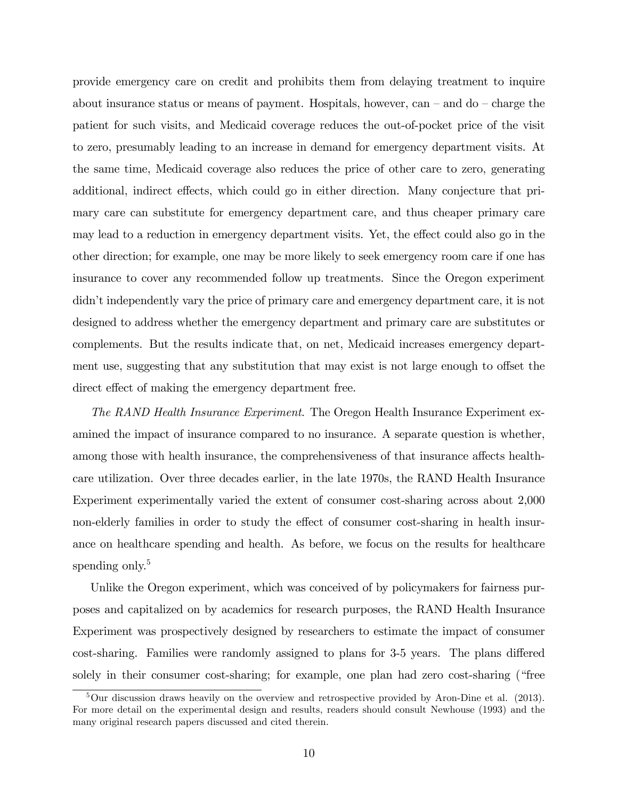provide emergency care on credit and prohibits them from delaying treatment to inquire about insurance status or means of payment. Hospitals, however, can  $-$  and do  $-$  charge the patient for such visits, and Medicaid coverage reduces the out-of-pocket price of the visit to zero, presumably leading to an increase in demand for emergency department visits. At the same time, Medicaid coverage also reduces the price of other care to zero, generating additional, indirect effects, which could go in either direction. Many conjecture that primary care can substitute for emergency department care, and thus cheaper primary care may lead to a reduction in emergency department visits. Yet, the effect could also go in the other direction; for example, one may be more likely to seek emergency room care if one has insurance to cover any recommended follow up treatments. Since the Oregon experiment didn't independently vary the price of primary care and emergency department care, it is not designed to address whether the emergency department and primary care are substitutes or complements. But the results indicate that, on net, Medicaid increases emergency department use, suggesting that any substitution that may exist is not large enough to offset the direct effect of making the emergency department free.

The RAND Health Insurance Experiment. The Oregon Health Insurance Experiment examined the impact of insurance compared to no insurance. A separate question is whether, among those with health insurance, the comprehensiveness of that insurance affects healthcare utilization. Over three decades earlier, in the late 1970s, the RAND Health Insurance Experiment experimentally varied the extent of consumer cost-sharing across about 2,000 non-elderly families in order to study the effect of consumer cost-sharing in health insurance on healthcare spending and health. As before, we focus on the results for healthcare spending only.<sup>5</sup>

Unlike the Oregon experiment, which was conceived of by policymakers for fairness purposes and capitalized on by academics for research purposes, the RAND Health Insurance Experiment was prospectively designed by researchers to estimate the impact of consumer cost-sharing. Families were randomly assigned to plans for 3-5 years. The plans differed solely in their consumer cost-sharing; for example, one plan had zero cost-sharing ("free

<sup>5</sup>Our discussion draws heavily on the overview and retrospective provided by Aron-Dine et al. (2013). For more detail on the experimental design and results, readers should consult Newhouse (1993) and the many original research papers discussed and cited therein.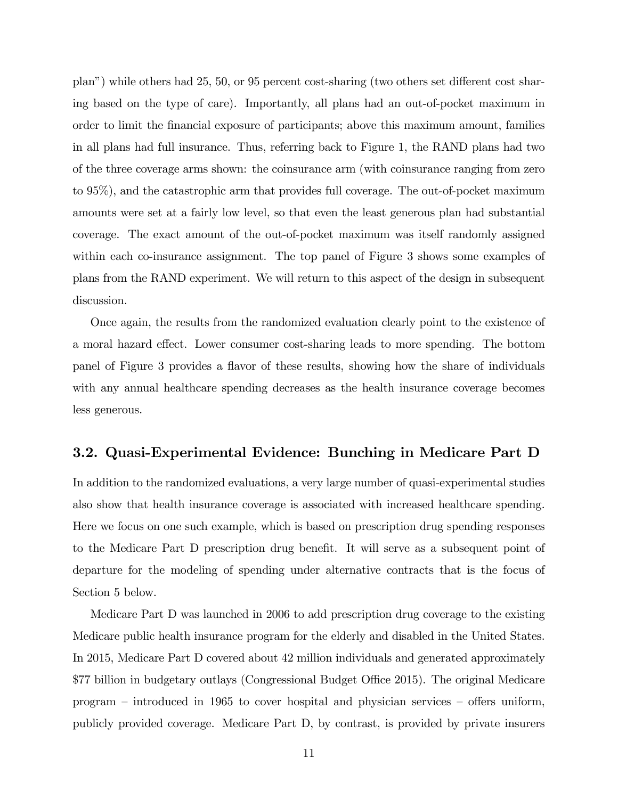plan") while others had 25, 50, or 95 percent cost-sharing (two others set different cost sharing based on the type of care). Importantly, all plans had an out-of-pocket maximum in order to limit the Önancial exposure of participants; above this maximum amount, families in all plans had full insurance. Thus, referring back to Figure 1, the RAND plans had two of the three coverage arms shown: the coinsurance arm (with coinsurance ranging from zero to 95%), and the catastrophic arm that provides full coverage. The out-of-pocket maximum amounts were set at a fairly low level, so that even the least generous plan had substantial coverage. The exact amount of the out-of-pocket maximum was itself randomly assigned within each co-insurance assignment. The top panel of Figure 3 shows some examples of plans from the RAND experiment. We will return to this aspect of the design in subsequent discussion.

Once again, the results from the randomized evaluation clearly point to the existence of a moral hazard effect. Lower consumer cost-sharing leads to more spending. The bottom panel of Figure 3 provides a áavor of these results, showing how the share of individuals with any annual healthcare spending decreases as the health insurance coverage becomes less generous.

#### 3.2. Quasi-Experimental Evidence: Bunching in Medicare Part D

In addition to the randomized evaluations, a very large number of quasi-experimental studies also show that health insurance coverage is associated with increased healthcare spending. Here we focus on one such example, which is based on prescription drug spending responses to the Medicare Part D prescription drug benefit. It will serve as a subsequent point of departure for the modeling of spending under alternative contracts that is the focus of Section 5 below.

Medicare Part D was launched in 2006 to add prescription drug coverage to the existing Medicare public health insurance program for the elderly and disabled in the United States. In 2015, Medicare Part D covered about 42 million individuals and generated approximately \$77 billion in budgetary outlays (Congressional Budget Office 2015). The original Medicare program  $-$  introduced in 1965 to cover hospital and physician services  $-$  offers uniform, publicly provided coverage. Medicare Part D, by contrast, is provided by private insurers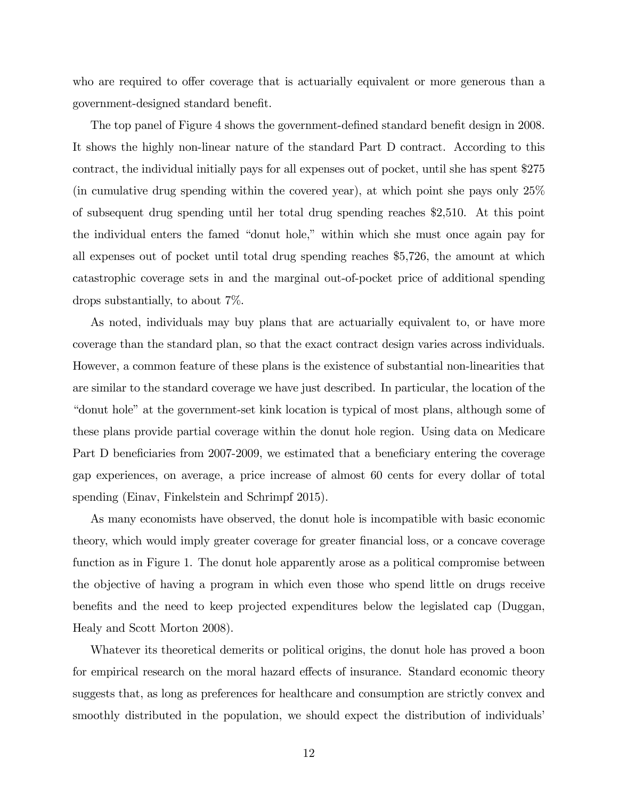who are required to offer coverage that is actuarially equivalent or more generous than a government-designed standard benefit.

The top panel of Figure 4 shows the government-defined standard benefit design in 2008. It shows the highly non-linear nature of the standard Part D contract. According to this contract, the individual initially pays for all expenses out of pocket, until she has spent \$275 (in cumulative drug spending within the covered year), at which point she pays only 25% of subsequent drug spending until her total drug spending reaches \$2,510. At this point the individual enters the famed "donut hole," within which she must once again pay for all expenses out of pocket until total drug spending reaches \$5,726, the amount at which catastrophic coverage sets in and the marginal out-of-pocket price of additional spending drops substantially, to about 7%.

As noted, individuals may buy plans that are actuarially equivalent to, or have more coverage than the standard plan, so that the exact contract design varies across individuals. However, a common feature of these plans is the existence of substantial non-linearities that are similar to the standard coverage we have just described. In particular, the location of the "donut hole" at the government-set kink location is typical of most plans, although some of these plans provide partial coverage within the donut hole region. Using data on Medicare Part D beneficiaries from 2007-2009, we estimated that a beneficiary entering the coverage gap experiences, on average, a price increase of almost 60 cents for every dollar of total spending (Einav, Finkelstein and Schrimpf 2015).

As many economists have observed, the donut hole is incompatible with basic economic theory, which would imply greater coverage for greater Önancial loss, or a concave coverage function as in Figure 1. The donut hole apparently arose as a political compromise between the objective of having a program in which even those who spend little on drugs receive benefits and the need to keep projected expenditures below the legislated cap (Duggan, Healy and Scott Morton 2008).

Whatever its theoretical demerits or political origins, the donut hole has proved a boon for empirical research on the moral hazard effects of insurance. Standard economic theory suggests that, as long as preferences for healthcare and consumption are strictly convex and smoothly distributed in the population, we should expect the distribution of individuals<sup>7</sup>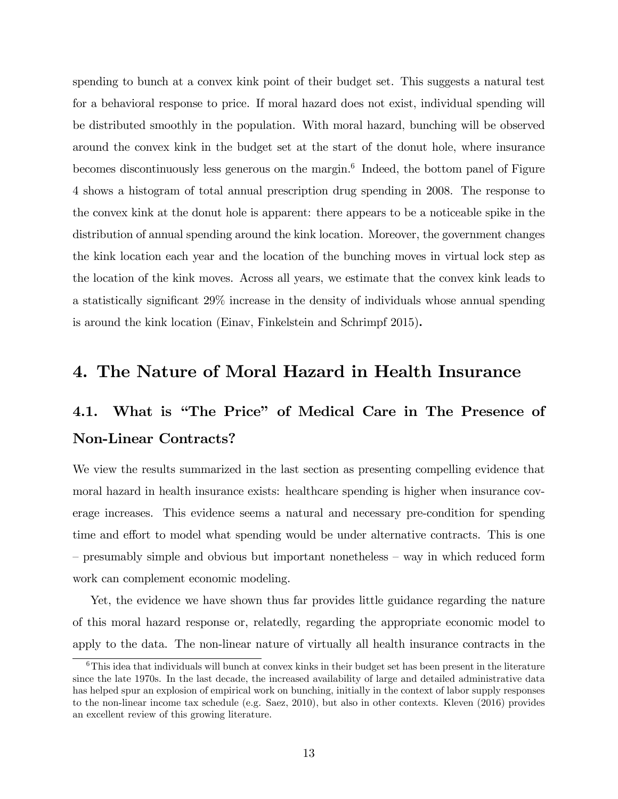spending to bunch at a convex kink point of their budget set. This suggests a natural test for a behavioral response to price. If moral hazard does not exist, individual spending will be distributed smoothly in the population. With moral hazard, bunching will be observed around the convex kink in the budget set at the start of the donut hole, where insurance becomes discontinuously less generous on the margin.<sup>6</sup> Indeed, the bottom panel of Figure 4 shows a histogram of total annual prescription drug spending in 2008. The response to the convex kink at the donut hole is apparent: there appears to be a noticeable spike in the distribution of annual spending around the kink location. Moreover, the government changes the kink location each year and the location of the bunching moves in virtual lock step as the location of the kink moves. Across all years, we estimate that the convex kink leads to a statistically significant  $29\%$  increase in the density of individuals whose annual spending is around the kink location (Einav, Finkelstein and Schrimpf 2015).

#### 4. The Nature of Moral Hazard in Health Insurance

# 4.1. What is "The Price" of Medical Care in The Presence of Non-Linear Contracts?

We view the results summarized in the last section as presenting compelling evidence that moral hazard in health insurance exists: healthcare spending is higher when insurance coverage increases. This evidence seems a natural and necessary pre-condition for spending time and effort to model what spending would be under alternative contracts. This is one  $\sim$  presumably simple and obvious but important nonetheless  $\sim$  way in which reduced form work can complement economic modeling.

Yet, the evidence we have shown thus far provides little guidance regarding the nature of this moral hazard response or, relatedly, regarding the appropriate economic model to apply to the data. The non-linear nature of virtually all health insurance contracts in the

 $6$ This idea that individuals will bunch at convex kinks in their budget set has been present in the literature since the late 1970s. In the last decade, the increased availability of large and detailed administrative data has helped spur an explosion of empirical work on bunching, initially in the context of labor supply responses to the non-linear income tax schedule (e.g. Saez, 2010), but also in other contexts. Kleven (2016) provides an excellent review of this growing literature.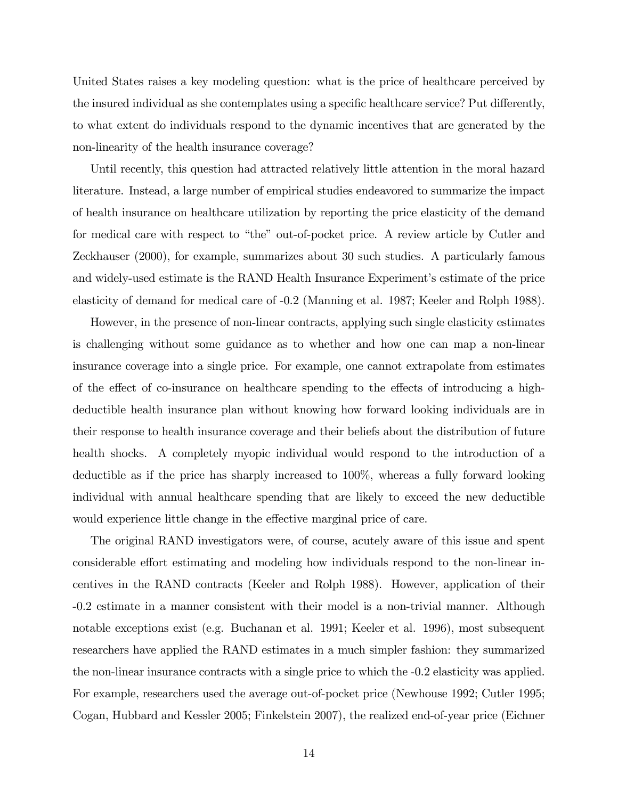United States raises a key modeling question: what is the price of healthcare perceived by the insured individual as she contemplates using a specific healthcare service? Put differently, to what extent do individuals respond to the dynamic incentives that are generated by the non-linearity of the health insurance coverage?

Until recently, this question had attracted relatively little attention in the moral hazard literature. Instead, a large number of empirical studies endeavored to summarize the impact of health insurance on healthcare utilization by reporting the price elasticity of the demand for medical care with respect to "the" out-of-pocket price. A review article by Cutler and Zeckhauser (2000), for example, summarizes about 30 such studies. A particularly famous and widely-used estimate is the RAND Health Insurance Experiment's estimate of the price elasticity of demand for medical care of -0.2 (Manning et al. 1987; Keeler and Rolph 1988).

However, in the presence of non-linear contracts, applying such single elasticity estimates is challenging without some guidance as to whether and how one can map a non-linear insurance coverage into a single price. For example, one cannot extrapolate from estimates of the effect of co-insurance on healthcare spending to the effects of introducing a highdeductible health insurance plan without knowing how forward looking individuals are in their response to health insurance coverage and their beliefs about the distribution of future health shocks. A completely myopic individual would respond to the introduction of a deductible as if the price has sharply increased to 100%, whereas a fully forward looking individual with annual healthcare spending that are likely to exceed the new deductible would experience little change in the effective marginal price of care.

The original RAND investigators were, of course, acutely aware of this issue and spent considerable effort estimating and modeling how individuals respond to the non-linear incentives in the RAND contracts (Keeler and Rolph 1988). However, application of their -0.2 estimate in a manner consistent with their model is a non-trivial manner. Although notable exceptions exist (e.g. Buchanan et al. 1991; Keeler et al. 1996), most subsequent researchers have applied the RAND estimates in a much simpler fashion: they summarized the non-linear insurance contracts with a single price to which the -0.2 elasticity was applied. For example, researchers used the average out-of-pocket price (Newhouse 1992; Cutler 1995; Cogan, Hubbard and Kessler 2005; Finkelstein 2007), the realized end-of-year price (Eichner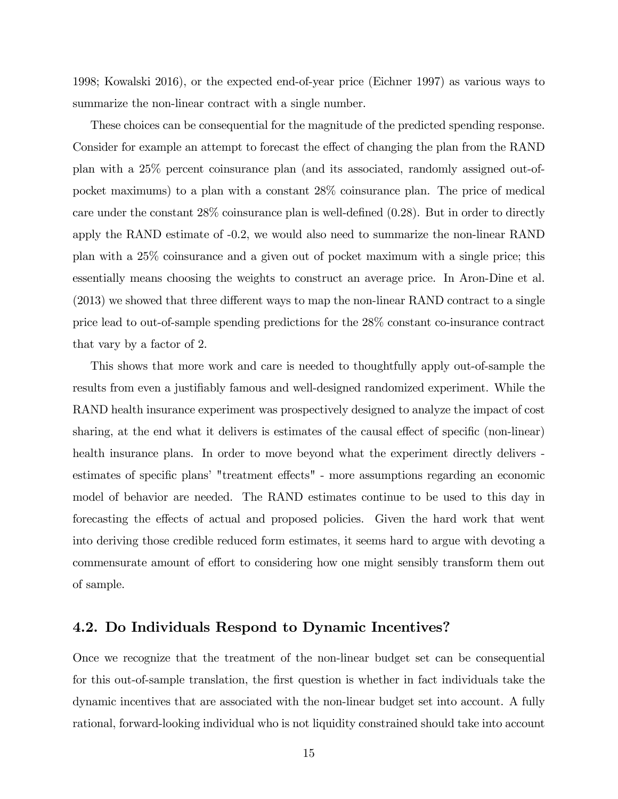1998; Kowalski 2016), or the expected end-of-year price (Eichner 1997) as various ways to summarize the non-linear contract with a single number.

These choices can be consequential for the magnitude of the predicted spending response. Consider for example an attempt to forecast the effect of changing the plan from the RAND plan with a 25% percent coinsurance plan (and its associated, randomly assigned out-ofpocket maximums) to a plan with a constant 28% coinsurance plan. The price of medical care under the constant  $28\%$  coinsurance plan is well-defined  $(0.28)$ . But in order to directly apply the RAND estimate of -0.2, we would also need to summarize the non-linear RAND plan with a 25% coinsurance and a given out of pocket maximum with a single price; this essentially means choosing the weights to construct an average price. In Aron-Dine et al.  $(2013)$  we showed that three different ways to map the non-linear RAND contract to a single price lead to out-of-sample spending predictions for the 28% constant co-insurance contract that vary by a factor of 2.

This shows that more work and care is needed to thoughtfully apply out-of-sample the results from even a justifiably famous and well-designed randomized experiment. While the RAND health insurance experiment was prospectively designed to analyze the impact of cost sharing, at the end what it delivers is estimates of the causal effect of specific (non-linear) health insurance plans. In order to move beyond what the experiment directly delivers estimates of specific plans' "treatment effects" - more assumptions regarding an economic model of behavior are needed. The RAND estimates continue to be used to this day in forecasting the effects of actual and proposed policies. Given the hard work that went into deriving those credible reduced form estimates, it seems hard to argue with devoting a commensurate amount of effort to considering how one might sensibly transform them out of sample.

#### 4.2. Do Individuals Respond to Dynamic Incentives?

Once we recognize that the treatment of the non-linear budget set can be consequential for this out-of-sample translation, the first question is whether in fact individuals take the dynamic incentives that are associated with the non-linear budget set into account. A fully rational, forward-looking individual who is not liquidity constrained should take into account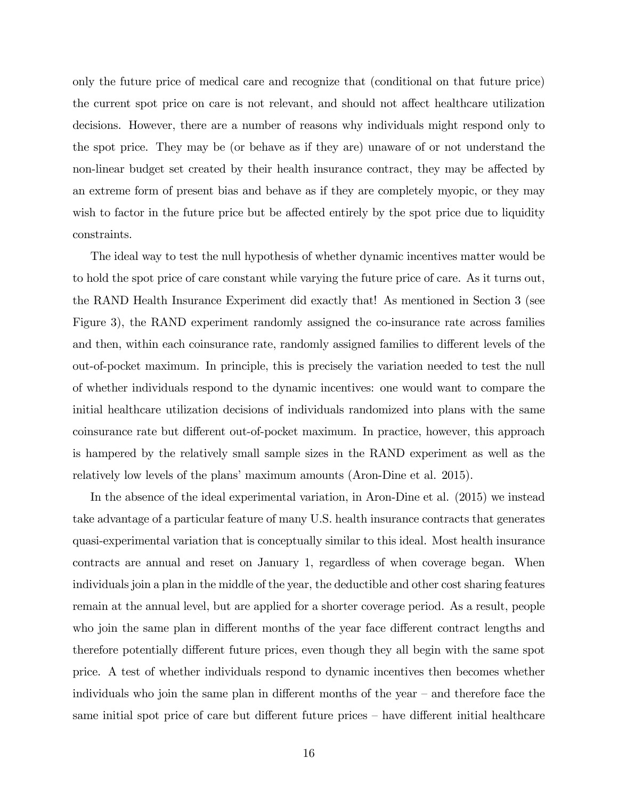only the future price of medical care and recognize that (conditional on that future price) the current spot price on care is not relevant, and should not affect healthcare utilization decisions. However, there are a number of reasons why individuals might respond only to the spot price. They may be (or behave as if they are) unaware of or not understand the non-linear budget set created by their health insurance contract, they may be affected by an extreme form of present bias and behave as if they are completely myopic, or they may wish to factor in the future price but be affected entirely by the spot price due to liquidity constraints.

The ideal way to test the null hypothesis of whether dynamic incentives matter would be to hold the spot price of care constant while varying the future price of care. As it turns out, the RAND Health Insurance Experiment did exactly that! As mentioned in Section 3 (see Figure 3), the RAND experiment randomly assigned the co-insurance rate across families and then, within each coinsurance rate, randomly assigned families to different levels of the out-of-pocket maximum. In principle, this is precisely the variation needed to test the null of whether individuals respond to the dynamic incentives: one would want to compare the initial healthcare utilization decisions of individuals randomized into plans with the same coinsurance rate but different out-of-pocket maximum. In practice, however, this approach is hampered by the relatively small sample sizes in the RAND experiment as well as the relatively low levels of the plans' maximum amounts (Aron-Dine et al. 2015).

In the absence of the ideal experimental variation, in Aron-Dine et al. (2015) we instead take advantage of a particular feature of many U.S. health insurance contracts that generates quasi-experimental variation that is conceptually similar to this ideal. Most health insurance contracts are annual and reset on January 1, regardless of when coverage began. When individuals join a plan in the middle of the year, the deductible and other cost sharing features remain at the annual level, but are applied for a shorter coverage period. As a result, people who join the same plan in different months of the year face different contract lengths and therefore potentially different future prices, even though they all begin with the same spot price. A test of whether individuals respond to dynamic incentives then becomes whether individuals who join the same plan in different months of the year  $-$  and therefore face the same initial spot price of care but different future prices  $-$  have different initial healthcare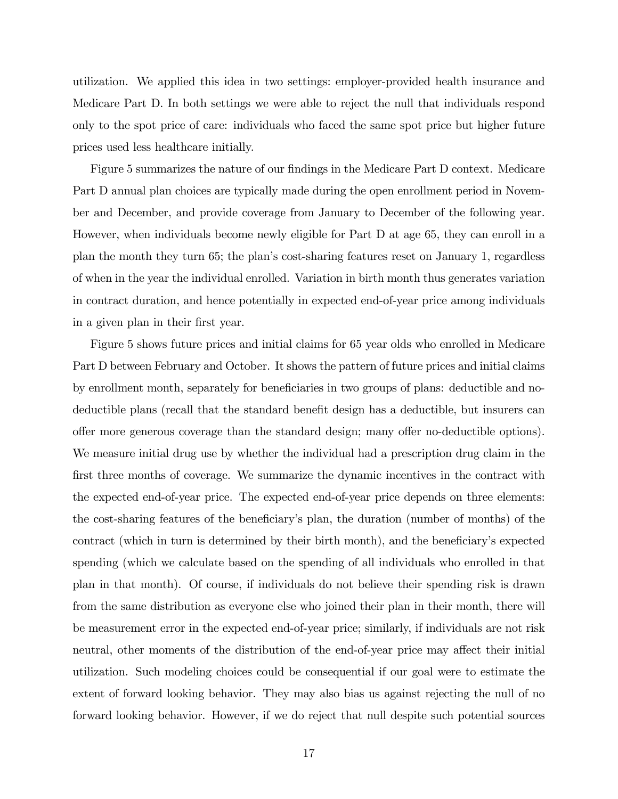utilization. We applied this idea in two settings: employer-provided health insurance and Medicare Part D. In both settings we were able to reject the null that individuals respond only to the spot price of care: individuals who faced the same spot price but higher future prices used less healthcare initially.

Figure 5 summarizes the nature of our findings in the Medicare Part D context. Medicare Part D annual plan choices are typically made during the open enrollment period in November and December, and provide coverage from January to December of the following year. However, when individuals become newly eligible for Part D at age 65, they can enroll in a plan the month they turn 65; the planís cost-sharing features reset on January 1, regardless of when in the year the individual enrolled. Variation in birth month thus generates variation in contract duration, and hence potentially in expected end-of-year price among individuals in a given plan in their first year.

Figure 5 shows future prices and initial claims for 65 year olds who enrolled in Medicare Part D between February and October. It shows the pattern of future prices and initial claims by enrollment month, separately for beneficiaries in two groups of plans: deductible and nodeductible plans (recall that the standard benefit design has a deductible, but insurers can offer more generous coverage than the standard design; many offer no-deductible options). We measure initial drug use by whether the individual had a prescription drug claim in the first three months of coverage. We summarize the dynamic incentives in the contract with the expected end-of-year price. The expected end-of-year price depends on three elements: the cost-sharing features of the beneficiary's plan, the duration (number of months) of the contract (which in turn is determined by their birth month), and the beneficiary's expected spending (which we calculate based on the spending of all individuals who enrolled in that plan in that month). Of course, if individuals do not believe their spending risk is drawn from the same distribution as everyone else who joined their plan in their month, there will be measurement error in the expected end-of-year price; similarly, if individuals are not risk neutral, other moments of the distribution of the end-of-year price may affect their initial utilization. Such modeling choices could be consequential if our goal were to estimate the extent of forward looking behavior. They may also bias us against rejecting the null of no forward looking behavior. However, if we do reject that null despite such potential sources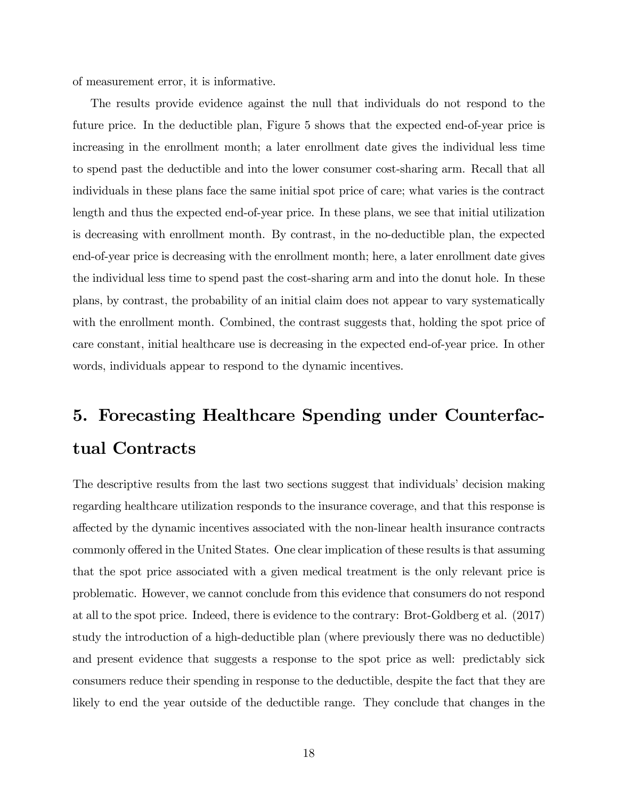of measurement error, it is informative.

The results provide evidence against the null that individuals do not respond to the future price. In the deductible plan, Figure 5 shows that the expected end-of-year price is increasing in the enrollment month; a later enrollment date gives the individual less time to spend past the deductible and into the lower consumer cost-sharing arm. Recall that all individuals in these plans face the same initial spot price of care; what varies is the contract length and thus the expected end-of-year price. In these plans, we see that initial utilization is decreasing with enrollment month. By contrast, in the no-deductible plan, the expected end-of-year price is decreasing with the enrollment month; here, a later enrollment date gives the individual less time to spend past the cost-sharing arm and into the donut hole. In these plans, by contrast, the probability of an initial claim does not appear to vary systematically with the enrollment month. Combined, the contrast suggests that, holding the spot price of care constant, initial healthcare use is decreasing in the expected end-of-year price. In other words, individuals appear to respond to the dynamic incentives.

# 5. Forecasting Healthcare Spending under Counterfactual Contracts

The descriptive results from the last two sections suggest that individuals' decision making regarding healthcare utilization responds to the insurance coverage, and that this response is a§ected by the dynamic incentives associated with the non-linear health insurance contracts commonly offered in the United States. One clear implication of these results is that assuming that the spot price associated with a given medical treatment is the only relevant price is problematic. However, we cannot conclude from this evidence that consumers do not respond at all to the spot price. Indeed, there is evidence to the contrary: Brot-Goldberg et al. (2017) study the introduction of a high-deductible plan (where previously there was no deductible) and present evidence that suggests a response to the spot price as well: predictably sick consumers reduce their spending in response to the deductible, despite the fact that they are likely to end the year outside of the deductible range. They conclude that changes in the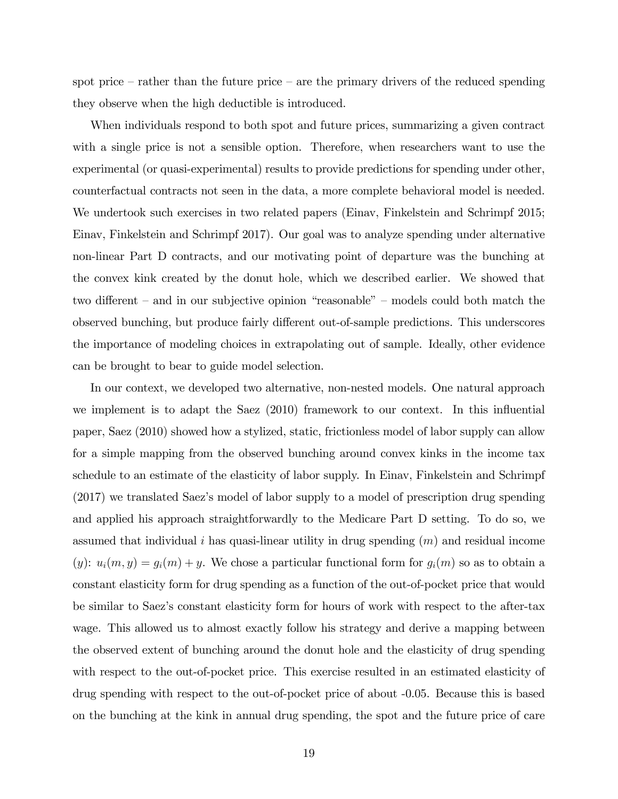spot price  $-$  rather than the future price  $-$  are the primary drivers of the reduced spending they observe when the high deductible is introduced.

When individuals respond to both spot and future prices, summarizing a given contract with a single price is not a sensible option. Therefore, when researchers want to use the experimental (or quasi-experimental) results to provide predictions for spending under other, counterfactual contracts not seen in the data, a more complete behavioral model is needed. We undertook such exercises in two related papers (Einav, Finkelstein and Schrimpf 2015; Einav, Finkelstein and Schrimpf 2017). Our goal was to analyze spending under alternative non-linear Part D contracts, and our motivating point of departure was the bunching at the convex kink created by the donut hole, which we described earlier. We showed that two different  $-$  and in our subjective opinion "reasonable"  $-$  models could both match the observed bunching, but produce fairly different out-of-sample predictions. This underscores the importance of modeling choices in extrapolating out of sample. Ideally, other evidence can be brought to bear to guide model selection.

In our context, we developed two alternative, non-nested models. One natural approach we implement is to adapt the Saez (2010) framework to our context. In this influential paper, Saez (2010) showed how a stylized, static, frictionless model of labor supply can allow for a simple mapping from the observed bunching around convex kinks in the income tax schedule to an estimate of the elasticity of labor supply. In Einav, Finkelstein and Schrimpf (2017) we translated Saezís model of labor supply to a model of prescription drug spending and applied his approach straightforwardly to the Medicare Part D setting. To do so, we assumed that individual i has quasi-linear utility in drug spending  $(m)$  and residual income (y):  $u_i(m, y) = g_i(m) + y$ . We chose a particular functional form for  $g_i(m)$  so as to obtain a constant elasticity form for drug spending as a function of the out-of-pocket price that would be similar to Saezís constant elasticity form for hours of work with respect to the after-tax wage. This allowed us to almost exactly follow his strategy and derive a mapping between the observed extent of bunching around the donut hole and the elasticity of drug spending with respect to the out-of-pocket price. This exercise resulted in an estimated elasticity of drug spending with respect to the out-of-pocket price of about -0.05. Because this is based on the bunching at the kink in annual drug spending, the spot and the future price of care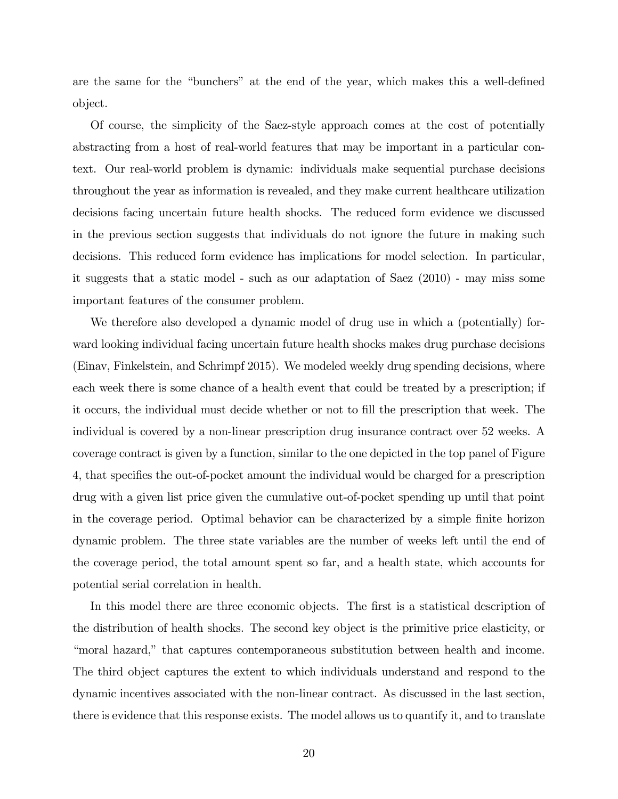are the same for the "bunchers" at the end of the year, which makes this a well-defined object.

Of course, the simplicity of the Saez-style approach comes at the cost of potentially abstracting from a host of real-world features that may be important in a particular context. Our real-world problem is dynamic: individuals make sequential purchase decisions throughout the year as information is revealed, and they make current healthcare utilization decisions facing uncertain future health shocks. The reduced form evidence we discussed in the previous section suggests that individuals do not ignore the future in making such decisions. This reduced form evidence has implications for model selection. In particular, it suggests that a static model - such as our adaptation of Saez (2010) - may miss some important features of the consumer problem.

We therefore also developed a dynamic model of drug use in which a (potentially) forward looking individual facing uncertain future health shocks makes drug purchase decisions (Einav, Finkelstein, and Schrimpf 2015). We modeled weekly drug spending decisions, where each week there is some chance of a health event that could be treated by a prescription; if it occurs, the individual must decide whether or not to Öll the prescription that week. The individual is covered by a non-linear prescription drug insurance contract over 52 weeks. A coverage contract is given by a function, similar to the one depicted in the top panel of Figure 4, that specifies the out-of-pocket amount the individual would be charged for a prescription drug with a given list price given the cumulative out-of-pocket spending up until that point in the coverage period. Optimal behavior can be characterized by a simple finite horizon dynamic problem. The three state variables are the number of weeks left until the end of the coverage period, the total amount spent so far, and a health state, which accounts for potential serial correlation in health.

In this model there are three economic objects. The first is a statistical description of the distribution of health shocks. The second key object is the primitive price elasticity, or ìmoral hazard,î that captures contemporaneous substitution between health and income. The third object captures the extent to which individuals understand and respond to the dynamic incentives associated with the non-linear contract. As discussed in the last section, there is evidence that this response exists. The model allows us to quantify it, and to translate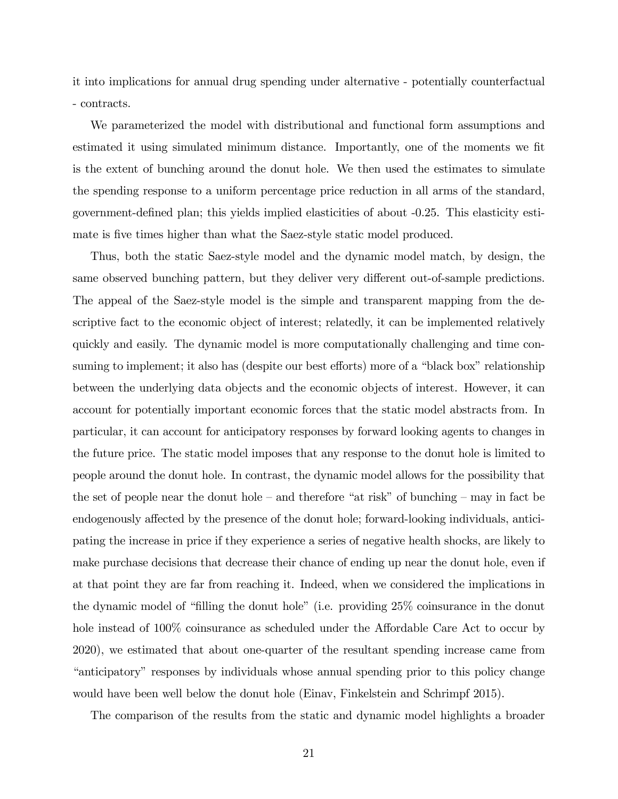it into implications for annual drug spending under alternative - potentially counterfactual - contracts.

We parameterized the model with distributional and functional form assumptions and estimated it using simulated minimum distance. Importantly, one of the moments we fit is the extent of bunching around the donut hole. We then used the estimates to simulate the spending response to a uniform percentage price reduction in all arms of the standard, government-deÖned plan; this yields implied elasticities of about -0.25. This elasticity estimate is five times higher than what the Saez-style static model produced.

Thus, both the static Saez-style model and the dynamic model match, by design, the same observed bunching pattern, but they deliver very different out-of-sample predictions. The appeal of the Saez-style model is the simple and transparent mapping from the descriptive fact to the economic object of interest; relatedly, it can be implemented relatively quickly and easily. The dynamic model is more computationally challenging and time consuming to implement; it also has (despite our best efforts) more of a "black box" relationship between the underlying data objects and the economic objects of interest. However, it can account for potentially important economic forces that the static model abstracts from. In particular, it can account for anticipatory responses by forward looking agents to changes in the future price. The static model imposes that any response to the donut hole is limited to people around the donut hole. In contrast, the dynamic model allows for the possibility that the set of people near the donut hole  $-$  and therefore "at risk" of bunching  $-$  may in fact be endogenously affected by the presence of the donut hole; forward-looking individuals, anticipating the increase in price if they experience a series of negative health shocks, are likely to make purchase decisions that decrease their chance of ending up near the donut hole, even if at that point they are far from reaching it. Indeed, when we considered the implications in the dynamic model of "filling the donut hole" (i.e. providing  $25\%$  coinsurance in the donut hole instead of  $100\%$  coinsurance as scheduled under the Affordable Care Act to occur by 2020), we estimated that about one-quarter of the resultant spending increase came from "anticipatory" responses by individuals whose annual spending prior to this policy change would have been well below the donut hole (Einav, Finkelstein and Schrimpf 2015).

The comparison of the results from the static and dynamic model highlights a broader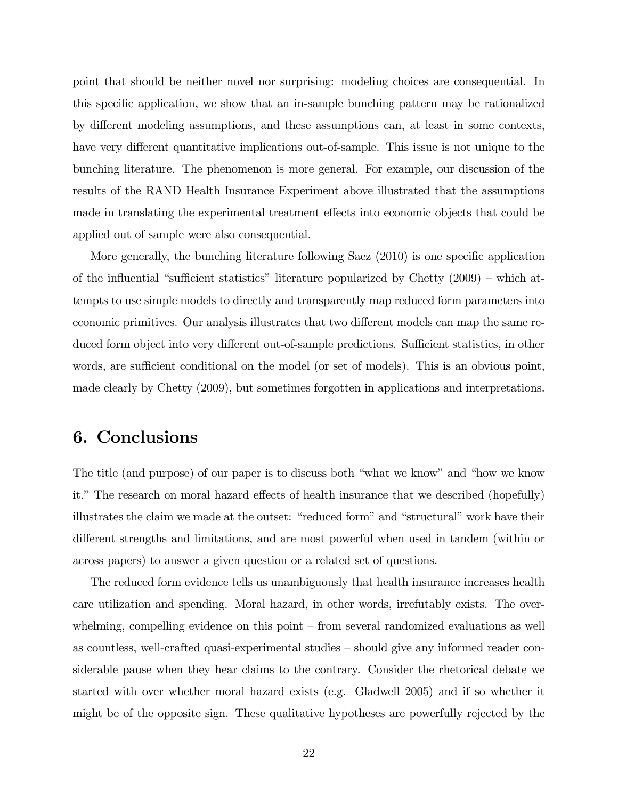point that should be neither novel nor surprising: modeling choices are consequential. In this specific application, we show that an in-sample bunching pattern may be rationalized by different modeling assumptions, and these assumptions can, at least in some contexts, have very different quantitative implications out-of-sample. This issue is not unique to the bunching literature. The phenomenon is more general. For example, our discussion of the results of the RAND Health Insurance Experiment above illustrated that the assumptions made in translating the experimental treatment effects into economic objects that could be applied out of sample were also consequential.

More generally, the bunching literature following Saez (2010) is one specific application of the influential "sufficient statistics" literature popularized by Chetty  $(2009)$  – which attempts to use simple models to directly and transparently map reduced form parameters into economic primitives. Our analysis illustrates that two different models can map the same reduced form object into very different out-of-sample predictions. Sufficient statistics, in other words, are sufficient conditional on the model (or set of models). This is an obvious point, made clearly by Chetty (2009), but sometimes forgotten in applications and interpretations.

## 6. Conclusions

The title (and purpose) of our paper is to discuss both "what we know" and "how we know it." The research on moral hazard effects of health insurance that we described (hopefully) illustrates the claim we made at the outset: "reduced form" and "structural" work have their different strengths and limitations, and are most powerful when used in tandem (within or across papers) to answer a given question or a related set of questions.

The reduced form evidence tells us unambiguously that health insurance increases health care utilization and spending. Moral hazard, in other words, irrefutably exists. The overwhelming, compelling evidence on this point  $-$  from several randomized evaluations as well as countless, well-crafted quasi-experimental studies  $-$  should give any informed reader considerable pause when they hear claims to the contrary. Consider the rhetorical debate we started with over whether moral hazard exists (e.g. Gladwell 2005) and if so whether it might be of the opposite sign. These qualitative hypotheses are powerfully rejected by the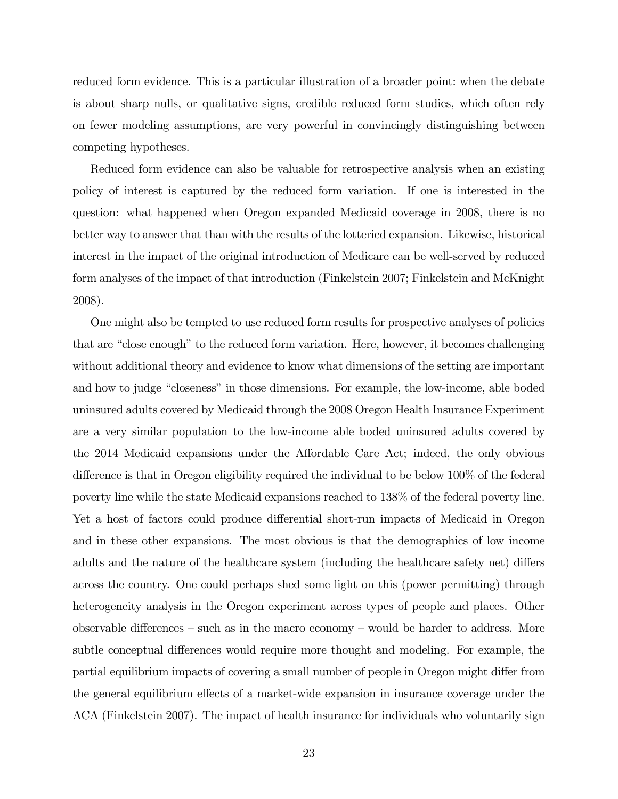reduced form evidence. This is a particular illustration of a broader point: when the debate is about sharp nulls, or qualitative signs, credible reduced form studies, which often rely on fewer modeling assumptions, are very powerful in convincingly distinguishing between competing hypotheses.

Reduced form evidence can also be valuable for retrospective analysis when an existing policy of interest is captured by the reduced form variation. If one is interested in the question: what happened when Oregon expanded Medicaid coverage in 2008, there is no better way to answer that than with the results of the lotteried expansion. Likewise, historical interest in the impact of the original introduction of Medicare can be well-served by reduced form analyses of the impact of that introduction (Finkelstein 2007; Finkelstein and McKnight 2008).

One might also be tempted to use reduced form results for prospective analyses of policies that are "close enough" to the reduced form variation. Here, however, it becomes challenging without additional theory and evidence to know what dimensions of the setting are important and how to judge "closeness" in those dimensions. For example, the low-income, able boded uninsured adults covered by Medicaid through the 2008 Oregon Health Insurance Experiment are a very similar population to the low-income able boded uninsured adults covered by the 2014 Medicaid expansions under the Affordable Care Act; indeed, the only obvious difference is that in Oregon eligibility required the individual to be below  $100\%$  of the federal poverty line while the state Medicaid expansions reached to 138% of the federal poverty line. Yet a host of factors could produce differential short-run impacts of Medicaid in Oregon and in these other expansions. The most obvious is that the demographics of low income adults and the nature of the healthcare system (including the healthcare safety net) differs across the country. One could perhaps shed some light on this (power permitting) through heterogeneity analysis in the Oregon experiment across types of people and places. Other observable differences  $-$  such as in the macro economy  $-$  would be harder to address. More subtle conceptual differences would require more thought and modeling. For example, the partial equilibrium impacts of covering a small number of people in Oregon might differ from the general equilibrium effects of a market-wide expansion in insurance coverage under the ACA (Finkelstein 2007). The impact of health insurance for individuals who voluntarily sign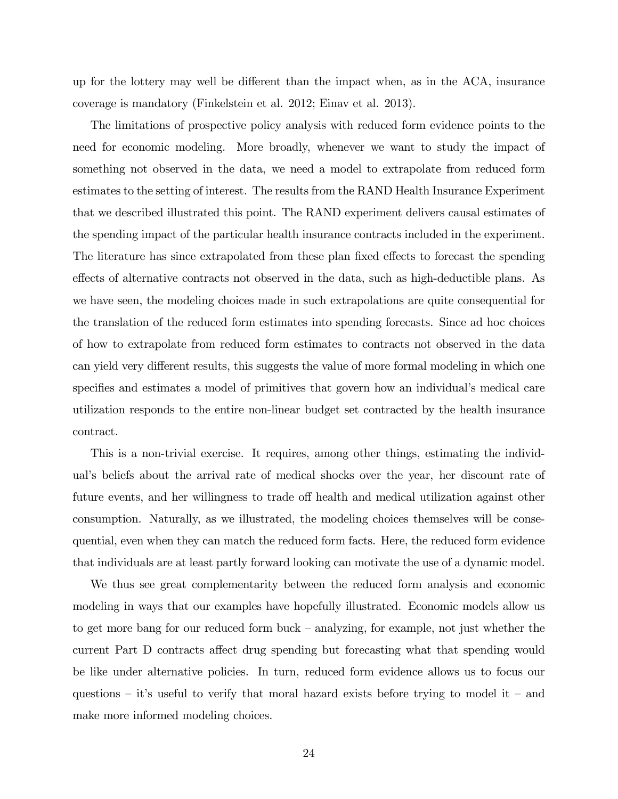up for the lottery may well be different than the impact when, as in the ACA, insurance coverage is mandatory (Finkelstein et al. 2012; Einav et al. 2013).

The limitations of prospective policy analysis with reduced form evidence points to the need for economic modeling. More broadly, whenever we want to study the impact of something not observed in the data, we need a model to extrapolate from reduced form estimates to the setting of interest. The results from the RAND Health Insurance Experiment that we described illustrated this point. The RAND experiment delivers causal estimates of the spending impact of the particular health insurance contracts included in the experiment. The literature has since extrapolated from these plan fixed effects to forecast the spending effects of alternative contracts not observed in the data, such as high-deductible plans. As we have seen, the modeling choices made in such extrapolations are quite consequential for the translation of the reduced form estimates into spending forecasts. Since ad hoc choices of how to extrapolate from reduced form estimates to contracts not observed in the data can yield very different results, this suggests the value of more formal modeling in which one specifies and estimates a model of primitives that govern how an individual's medical care utilization responds to the entire non-linear budget set contracted by the health insurance contract.

This is a non-trivial exercise. It requires, among other things, estimating the individual's beliefs about the arrival rate of medical shocks over the year, her discount rate of future events, and her willingness to trade off health and medical utilization against other consumption. Naturally, as we illustrated, the modeling choices themselves will be consequential, even when they can match the reduced form facts. Here, the reduced form evidence that individuals are at least partly forward looking can motivate the use of a dynamic model.

We thus see great complementarity between the reduced form analysis and economic modeling in ways that our examples have hopefully illustrated. Economic models allow us to get more bang for our reduced form buck – analyzing, for example, not just whether the current Part D contracts affect drug spending but forecasting what that spending would be like under alternative policies. In turn, reduced form evidence allows us to focus our questions  $-$  it's useful to verify that moral hazard exists before trying to model it  $-$  and make more informed modeling choices.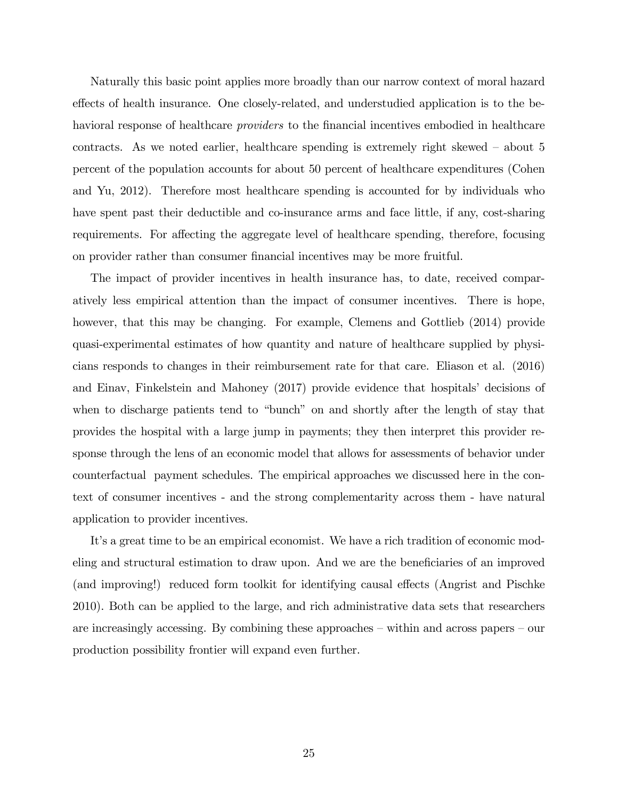Naturally this basic point applies more broadly than our narrow context of moral hazard effects of health insurance. One closely-related, and understudied application is to the behavioral response of healthcare *providers* to the financial incentives embodied in healthcare contracts. As we noted earlier, healthcare spending is extremely right skewed  $-$  about 5 percent of the population accounts for about 50 percent of healthcare expenditures (Cohen and Yu, 2012). Therefore most healthcare spending is accounted for by individuals who have spent past their deductible and co-insurance arms and face little, if any, cost-sharing requirements. For affecting the aggregate level of healthcare spending, therefore, focusing on provider rather than consumer financial incentives may be more fruitful.

The impact of provider incentives in health insurance has, to date, received comparatively less empirical attention than the impact of consumer incentives. There is hope, however, that this may be changing. For example, Clemens and Gottlieb (2014) provide quasi-experimental estimates of how quantity and nature of healthcare supplied by physicians responds to changes in their reimbursement rate for that care. Eliason et al. (2016) and Einav, Finkelstein and Mahoney (2017) provide evidence that hospitals' decisions of when to discharge patients tend to "bunch" on and shortly after the length of stay that provides the hospital with a large jump in payments; they then interpret this provider response through the lens of an economic model that allows for assessments of behavior under counterfactual payment schedules. The empirical approaches we discussed here in the context of consumer incentives - and the strong complementarity across them - have natural application to provider incentives.

It's a great time to be an empirical economist. We have a rich tradition of economic modeling and structural estimation to draw upon. And we are the beneficiaries of an improved (and improving!) reduced form toolkit for identifying causal effects (Angrist and Pischke 2010). Both can be applied to the large, and rich administrative data sets that researchers are increasingly accessing. By combining these approaches  $\overline{\phantom{a}}$  – within and across papers  $\overline{\phantom{a}}$  – our production possibility frontier will expand even further.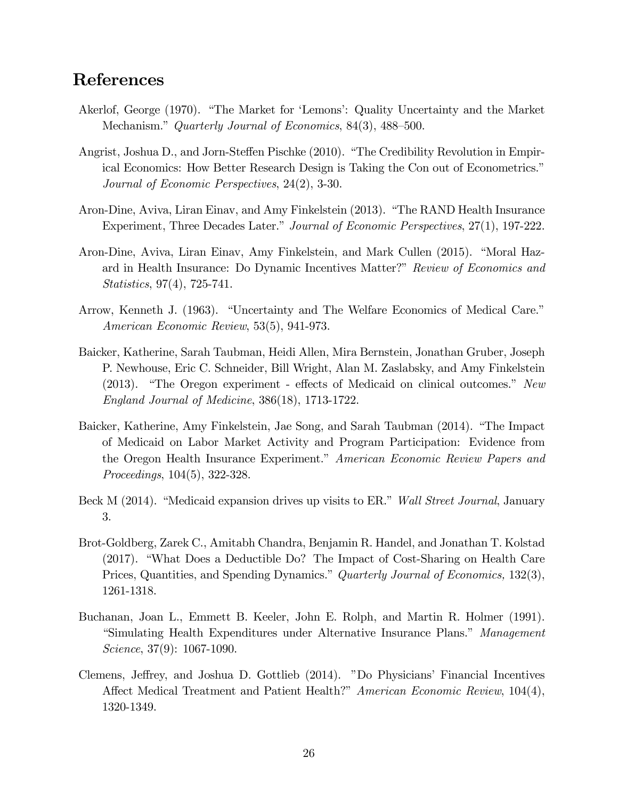#### References

- Akerlof, George (1970). "The Market for 'Lemons': Quality Uncertainty and the Market Mechanism." Quarterly Journal of Economics,  $84(3)$ ,  $488-500$ .
- Angrist, Joshua D., and Jorn-Steffen Pischke (2010). "The Credibility Revolution in Empirical Economics: How Better Research Design is Taking the Con out of Econometrics." Journal of Economic Perspectives, 24(2), 3-30.
- Aron-Dine, Aviva, Liran Einav, and Amy Finkelstein (2013). "The RAND Health Insurance Experiment, Three Decades Later." Journal of Economic Perspectives, 27(1), 197-222.
- Aron-Dine, Aviva, Liran Einav, Amy Finkelstein, and Mark Cullen (2015). "Moral Hazard in Health Insurance: Do Dynamic Incentives Matter?" Review of Economics and Statistics, 97(4), 725-741.
- Arrow, Kenneth J. (1963). "Uncertainty and The Welfare Economics of Medical Care." American Economic Review, 53(5), 941-973.
- Baicker, Katherine, Sarah Taubman, Heidi Allen, Mira Bernstein, Jonathan Gruber, Joseph P. Newhouse, Eric C. Schneider, Bill Wright, Alan M. Zaslabsky, and Amy Finkelstein  $(2013)$ . "The Oregon experiment - effects of Medicaid on clinical outcomes." New England Journal of Medicine, 386(18), 1713-1722.
- Baicker, Katherine, Amy Finkelstein, Jae Song, and Sarah Taubman (2014). "The Impact of Medicaid on Labor Market Activity and Program Participation: Evidence from the Oregon Health Insurance Experiment." American Economic Review Papers and Proceedings, 104(5), 322-328.
- Beck M (2014). "Medicaid expansion drives up visits to ER." Wall Street Journal, January 3.
- Brot-Goldberg, Zarek C., Amitabh Chandra, Benjamin R. Handel, and Jonathan T. Kolstad  $(2017)$ . "What Does a Deductible Do? The Impact of Cost-Sharing on Health Care Prices, Quantities, and Spending Dynamics." Quarterly Journal of Economics, 132(3), 1261-1318.
- Buchanan, Joan L., Emmett B. Keeler, John E. Rolph, and Martin R. Holmer (1991). "Simulating Health Expenditures under Alternative Insurance Plans." Management Science, 37(9): 1067-1090.
- Clemens, Jeffrey, and Joshua D. Gottlieb (2014). "Do Physicians' Financial Incentives Affect Medical Treatment and Patient Health?" American Economic Review, 104(4), 1320-1349.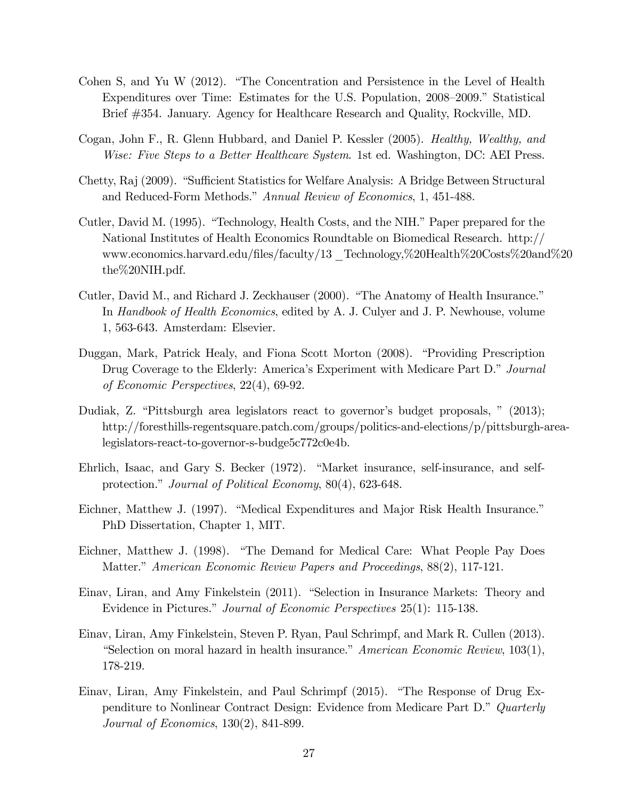- Cohen S, and Yu W  $(2012)$ . "The Concentration and Persistence in the Level of Health Expenditures over Time: Estimates for the U.S. Population,  $2008-2009$ .<sup>n</sup> Statistical Brief #354. January. Agency for Healthcare Research and Quality, Rockville, MD.
- Cogan, John F., R. Glenn Hubbard, and Daniel P. Kessler (2005). Healthy, Wealthy, and Wise: Five Steps to a Better Healthcare System. 1st ed. Washington, DC: AEI Press.
- Chetty, Raj (2009). "Sufficient Statistics for Welfare Analysis: A Bridge Between Structural and Reduced-Form Methods." Annual Review of Economics, 1, 451-488.
- Cutler, David M. (1995). "Technology, Health Costs, and the NIH." Paper prepared for the National Institutes of Health Economics Roundtable on Biomedical Research. http:// www.economics.harvard.edu/Öles/faculty/13 \_Technology,%20Health%20Costs%20and%20 the%20NIH.pdf.
- Cutler, David M., and Richard J. Zeckhauser (2000). "The Anatomy of Health Insurance." In Handbook of Health Economics, edited by A. J. Culyer and J. P. Newhouse, volume 1, 563-643. Amsterdam: Elsevier.
- Duggan, Mark, Patrick Healy, and Fiona Scott Morton (2008). "Providing Prescription Drug Coverage to the Elderly: America's Experiment with Medicare Part D." Journal of Economic Perspectives, 22(4), 69-92.
- Dudiak, Z. "Pittsburgh area legislators react to governor's budget proposals, " (2013); http://foresthills-regentsquare.patch.com/groups/politics-and-elections/p/pittsburgh-arealegislators-react-to-governor-s-budge5c772c0e4b.
- Ehrlich, Isaac, and Gary S. Becker (1972). "Market insurance, self-insurance, and selfprotection." Journal of Political Economy,  $80(4)$ , 623-648.
- Eichner, Matthew J. (1997). "Medical Expenditures and Major Risk Health Insurance." PhD Dissertation, Chapter 1, MIT.
- Eichner, Matthew J. (1998). "The Demand for Medical Care: What People Pay Does Matter." American Economic Review Papers and Proceedings, 88(2), 117-121.
- Einav, Liran, and Amy Finkelstein (2011). "Selection in Insurance Markets: Theory and Evidence in Pictures." Journal of Economic Perspectives 25(1): 115-138.
- Einav, Liran, Amy Finkelstein, Steven P. Ryan, Paul Schrimpf, and Mark R. Cullen (2013). "Selection on moral hazard in health insurance." American Economic Review,  $103(1)$ , 178-219.
- Einav, Liran, Amy Finkelstein, and Paul Schrimpf (2015). "The Response of Drug Expenditure to Nonlinear Contract Design: Evidence from Medicare Part D.<sup>n</sup> Quarterly Journal of Economics, 130(2), 841-899.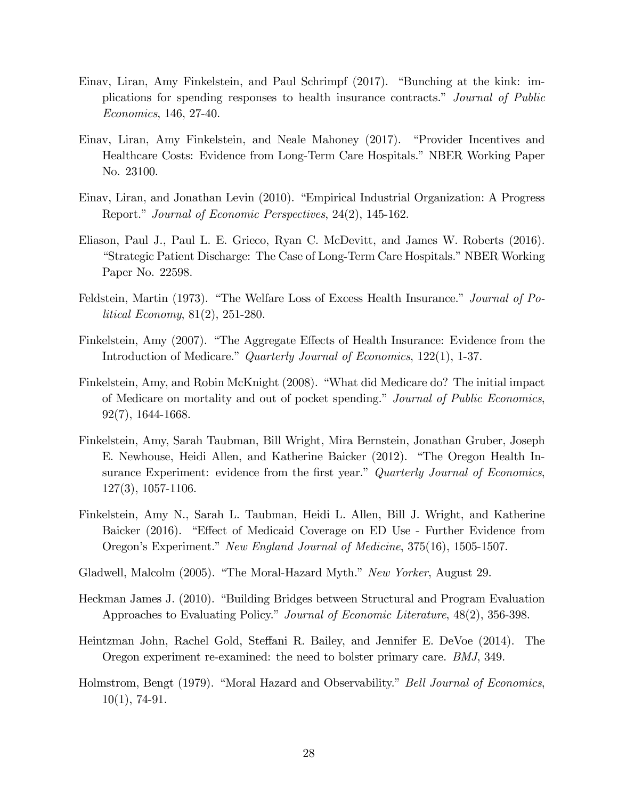- Einav, Liran, Amy Finkelstein, and Paul Schrimpf (2017). "Bunching at the kink: implications for spending responses to health insurance contracts.î Journal of Public Economics, 146, 27-40.
- Einav, Liran, Amy Finkelstein, and Neale Mahoney (2017). "Provider Incentives and Healthcare Costs: Evidence from Long-Term Care Hospitals." NBER Working Paper No. 23100.
- Einav, Liran, and Jonathan Levin (2010). "Empirical Industrial Organization: A Progress Report." Journal of Economic Perspectives, 24(2), 145-162.
- Eliason, Paul J., Paul L. E. Grieco, Ryan C. McDevitt, and James W. Roberts (2016). **Example 2** Strategic Patient Discharge: The Case of Long-Term Care Hospitals." NBER Working Paper No. 22598.
- Feldstein, Martin (1973). "The Welfare Loss of Excess Health Insurance." Journal of Political Economy, 81(2), 251-280.
- Finkelstein, Amy (2007). "The Aggregate Effects of Health Insurance: Evidence from the Introduction of Medicare." Quarterly Journal of Economics,  $122(1)$ , 1-37.
- Finkelstein, Amy, and Robin McKnight (2008). "What did Medicare do? The initial impact of Medicare on mortality and out of pocket spending." Journal of Public Economics, 92(7), 1644-1668.
- Finkelstein, Amy, Sarah Taubman, Bill Wright, Mira Bernstein, Jonathan Gruber, Joseph E. Newhouse, Heidi Allen, and Katherine Baicker (2012). "The Oregon Health Insurance Experiment: evidence from the first year." Quarterly Journal of Economics, 127(3), 1057-1106.
- Finkelstein, Amy N., Sarah L. Taubman, Heidi L. Allen, Bill J. Wright, and Katherine Baicker (2016). "Effect of Medicaid Coverage on ED Use - Further Evidence from Oregon's Experiment." New England Journal of Medicine, 375(16), 1505-1507.
- Gladwell, Malcolm (2005). "The Moral-Hazard Myth." New Yorker, August 29.
- Heckman James J. (2010). "Building Bridges between Structural and Program Evaluation Approaches to Evaluating Policy." Journal of Economic Literature, 48(2), 356-398.
- Heintzman John, Rachel Gold, Steffani R. Bailey, and Jennifer E. DeVoe (2014). The Oregon experiment re-examined: the need to bolster primary care. BMJ, 349.
- Holmstrom, Bengt (1979). "Moral Hazard and Observability." Bell Journal of Economics, 10(1), 74-91.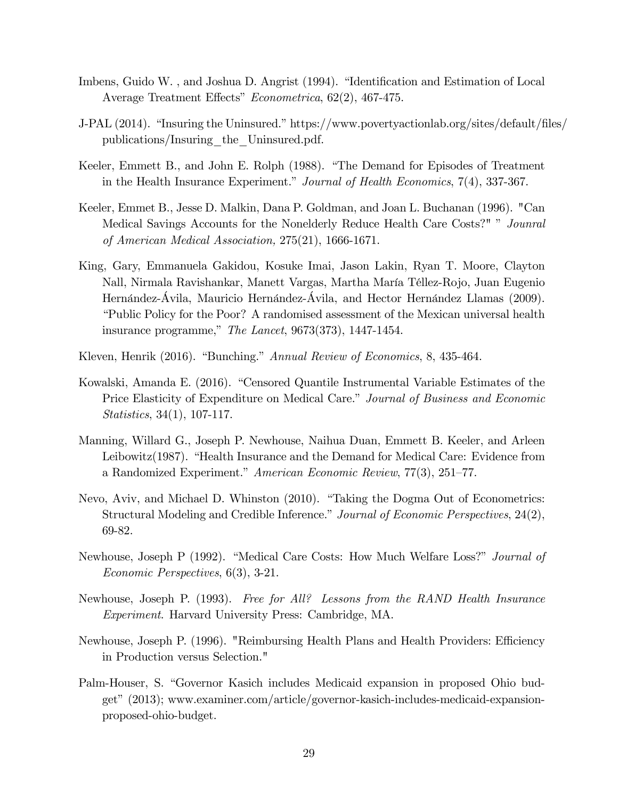- Imbens, Guido W., and Joshua D. Angrist (1994). "Identification and Estimation of Local Average Treatment Effects"  $Econometrica$ , 62(2), 467-475.
- J-PAL (2014). "Insuring the Uninsured." https://www.povertyactionlab.org/sites/default/files/ publications/Insuring\_the\_Uninsured.pdf.
- Keeler, Emmett B., and John E. Rolph (1988). "The Demand for Episodes of Treatment in the Health Insurance Experiment." Journal of Health Economics,  $7(4)$ , 337-367.
- Keeler, Emmet B., Jesse D. Malkin, Dana P. Goldman, and Joan L. Buchanan (1996). "Can Medical Savings Accounts for the Nonelderly Reduce Health Care Costs?" " Jounral of American Medical Association, 275(21), 1666-1671.
- King, Gary, Emmanuela Gakidou, Kosuke Imai, Jason Lakin, Ryan T. Moore, Clayton Nall, Nirmala Ravishankar, Manett Vargas, Martha María Téllez-Rojo, Juan Eugenio Hernández-Ávila, Mauricio Hernández-Ávila, and Hector Hernández Llamas (2009). ìPublic Policy for the Poor? A randomised assessment of the Mexican universal health insurance programme," The Lancet,  $9673(373)$ , 1447-1454.
- Kleven, Henrik (2016). "Bunching." Annual Review of Economics, 8, 435-464.
- Kowalski, Amanda E. (2016). "Censored Quantile Instrumental Variable Estimates of the Price Elasticity of Expenditure on Medical Care." Journal of Business and Economic Statistics, 34(1), 107-117.
- Manning, Willard G., Joseph P. Newhouse, Naihua Duan, Emmett B. Keeler, and Arleen Leibowitz(1987). "Health Insurance and the Demand for Medical Care: Evidence from a Randomized Experiment." American Economic Review,  $77(3)$ ,  $251-77$ .
- Nevo, Aviv, and Michael D. Whinston (2010). "Taking the Dogma Out of Econometrics: Structural Modeling and Credible Inference." Journal of Economic Perspectives, 24(2), 69-82.
- Newhouse, Joseph P (1992). "Medical Care Costs: How Much Welfare Loss?" *Journal of* Economic Perspectives, 6(3), 3-21.
- Newhouse, Joseph P. (1993). Free for All? Lessons from the RAND Health Insurance Experiment. Harvard University Press: Cambridge, MA.
- Newhouse, Joseph P. (1996). "Reimbursing Health Plans and Health Providers: Efficiency in Production versus Selection."
- Palm-Houser, S. "Governor Kasich includes Medicaid expansion in proposed Ohio budget"(2013); www.examiner.com/article/governor-kasich-includes-medicaid-expansionproposed-ohio-budget.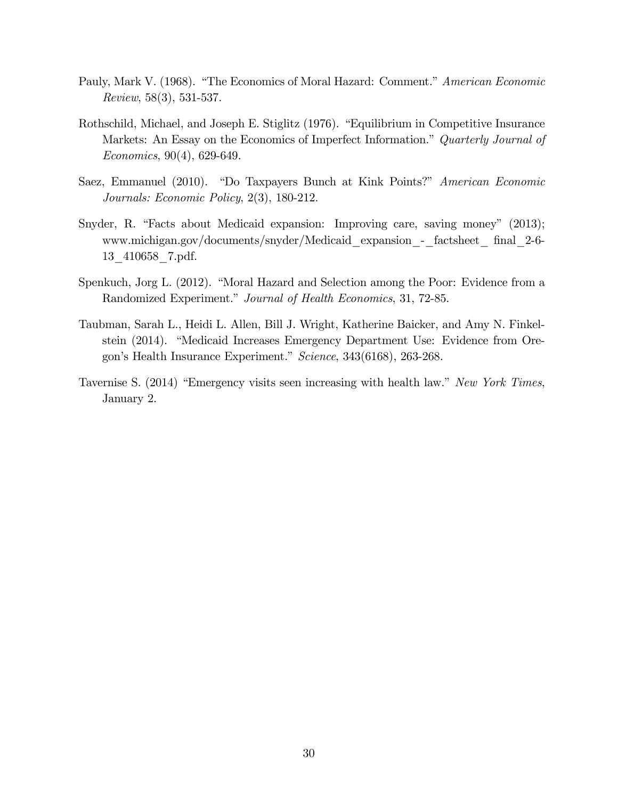- Pauly, Mark V. (1968). "The Economics of Moral Hazard: Comment." American Economic Review, 58(3), 531-537.
- Rothschild, Michael, and Joseph E. Stiglitz (1976). "Equilibrium in Competitive Insurance Markets: An Essay on the Economics of Imperfect Information." Quarterly Journal of Economics, 90(4), 629-649.
- Saez, Emmanuel (2010). "Do Taxpayers Bunch at Kink Points?" American Economic Journals: Economic Policy, 2(3), 180-212.
- Snyder, R. "Facts about Medicaid expansion: Improving care, saving money" (2013); www.michigan.gov/documents/snyder/Medicaid\_expansion\_-\_factsheet\_ final\_2-6-13\_410658\_7.pdf.
- Spenkuch, Jorg L. (2012). "Moral Hazard and Selection among the Poor: Evidence from a Randomized Experiment." Journal of Health Economics, 31, 72-85.
- Taubman, Sarah L., Heidi L. Allen, Bill J. Wright, Katherine Baicker, and Amy N. Finkelstein (2014). "Medicaid Increases Emergency Department Use: Evidence from Oregon's Health Insurance Experiment."  $Science$ , 343(6168), 263-268.
- Tavernise S. (2014) "Emergency visits seen increasing with health law." New York Times, January 2.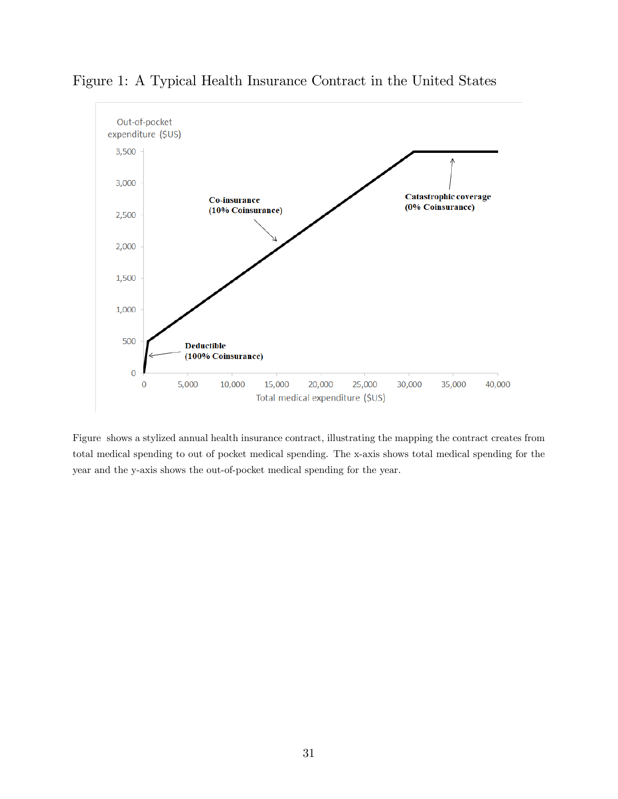

Figure 1: A Typical Health Insurance Contract in the United States

Figure shows a stylized annual health insurance contract, illustrating the mapping the contract creates from total medical spending to out of pocket medical spending. The x-axis shows total medical spending for the year and the y-axis shows the out-of-pocket medical spending for the year.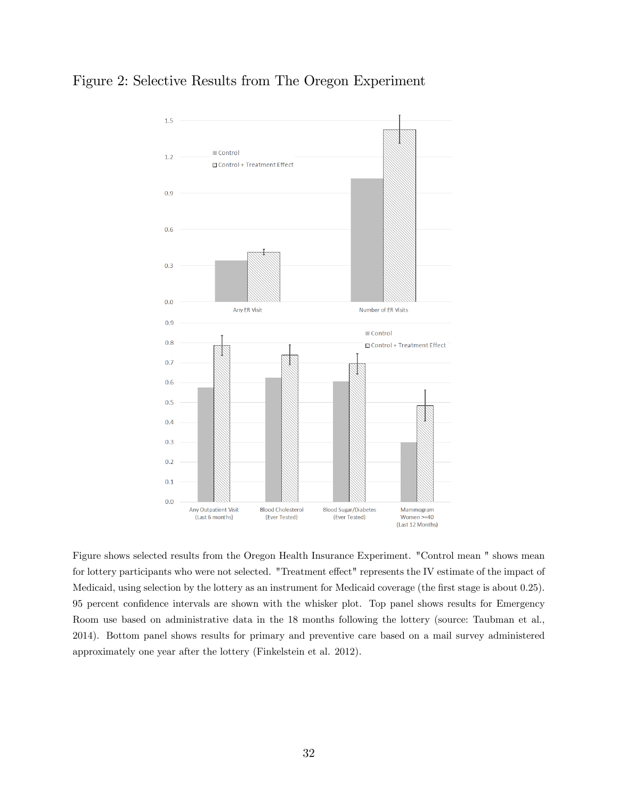

## Figure 2: Selective Results from The Oregon Experiment

Figure shows selected results from the Oregon Health Insurance Experiment. "Control mean " shows mean for lottery participants who were not selected. "Treatment effect" represents the IV estimate of the impact of Medicaid, using selection by the lottery as an instrument for Medicaid coverage (the first stage is about 0.25). 95 percent confidence intervals are shown with the whisker plot. Top panel shows results for Emergency Room use based on administrative data in the 18 months following the lottery (source: Taubman et al., 2014). Bottom panel shows results for primary and preventive care based on a mail survey administered approximately one year after the lottery (Finkelstein et al. 2012).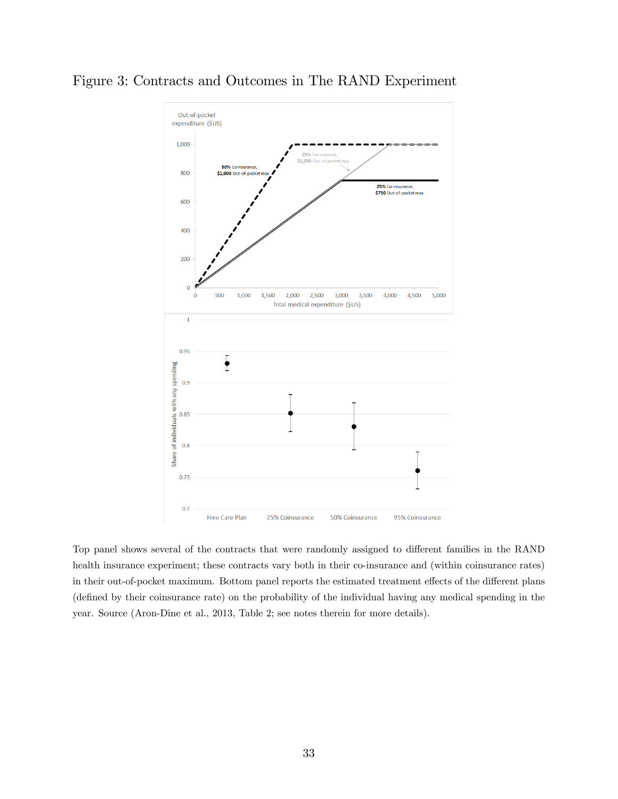

Figure 3: Contracts and Outcomes in The RAND Experiment

Top panel shows several of the contracts that were randomly assigned to different families in the RAND health insurance experiment; these contracts vary both in their co-insurance and (within coinsurance rates) in their out-of-pocket maximum. Bottom panel reports the estimated treatment effects of the different plans (deÖned by their coinsurance rate) on the probability of the individual having any medical spending in the year. Source (Aron-Dine et al., 2013, Table 2; see notes therein for more details).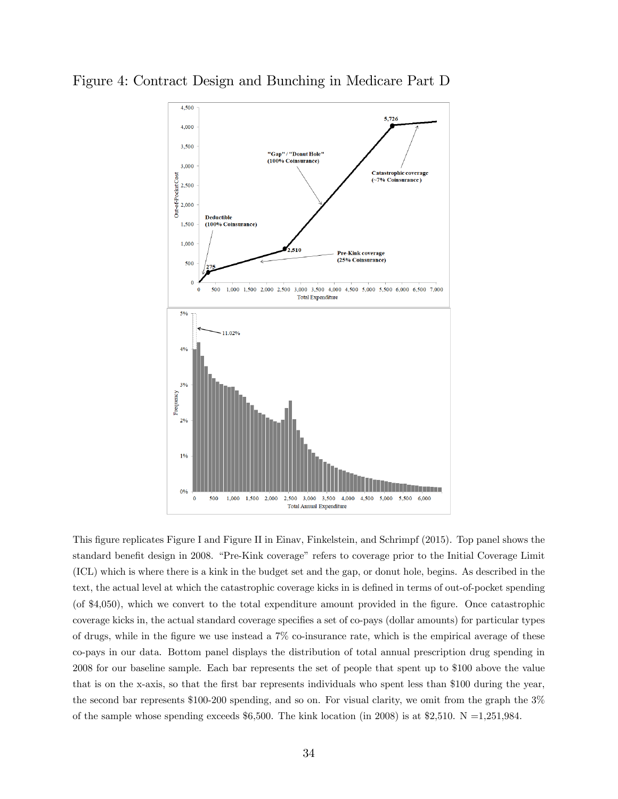

Figure 4: Contract Design and Bunching in Medicare Part D

This Ögure replicates Figure I and Figure II in Einav, Finkelstein, and Schrimpf (2015). Top panel shows the standard benefit design in 2008. "Pre-Kink coverage" refers to coverage prior to the Initial Coverage Limit (ICL) which is where there is a kink in the budget set and the gap, or donut hole, begins. As described in the text, the actual level at which the catastrophic coverage kicks in is defined in terms of out-of-pocket spending (of \$4,050), which we convert to the total expenditure amount provided in the Ögure. Once catastrophic coverage kicks in, the actual standard coverage specifies a set of co-pays (dollar amounts) for particular types of drugs, while in the figure we use instead a  $7\%$  co-insurance rate, which is the empirical average of these co-pays in our data. Bottom panel displays the distribution of total annual prescription drug spending in 2008 for our baseline sample. Each bar represents the set of people that spent up to \$100 above the value that is on the x-axis, so that the Örst bar represents individuals who spent less than \$100 during the year, the second bar represents \$100-200 spending, and so on. For visual clarity, we omit from the graph the 3% of the sample whose spending exceeds \$6,500. The kink location (in 2008) is at \$2,510. N = 1,251,984.